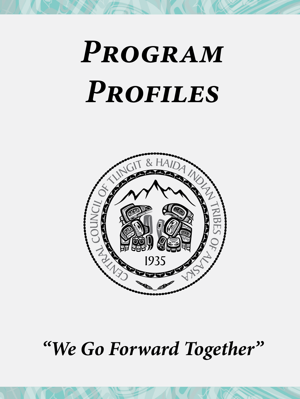# *Program Profiles*



# *"We Go Forward Together"*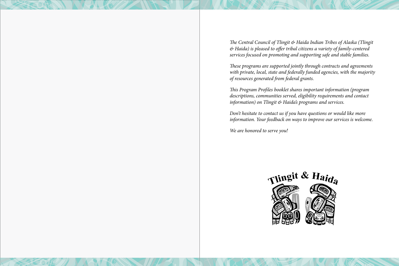*The Central Council of Tlingit & Haida Indian Tribes of Alaska (Tlingit & Haida) is pleased to offer tribal citizens a variety of family-centered services focused on promoting and supporting safe and stable families.* 

*These programs are supported jointly through contracts and agreements with private, local, state and federally funded agencies, with the majority of resources generated from federal grants.*

*This Program Profiles booklet shares important information (program descriptions, communities served, eligibility requirements and contact information) on Tlingit & Haida's programs and services.* 

*Don't hesitate to contact us if you have questions or would like more information. Your feedback on ways to improve our services is welcome.* 

*We are honored to serve you!*

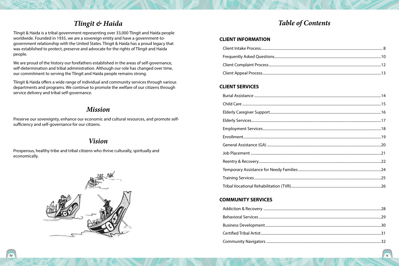### *Tlingit & Haida*

<span id="page-2-0"></span>Tlingit & Haida is a tribal government representing over 33,000 Tlingit and Haida people worldwide. Founded in 1935, we are a sovereign entity and have a government-togovernment relationship with the United States. Tlingit & Haida has a proud legacy that was established to protect, preserve and advocate for the rights of Tlingit and Haida people.

We are proud of the history our forefathers established in the areas of self-governance, self-determination and tribal administration. Although our role has changed over time, our commitment to serving the Tlingit and Haida people remains strong.

Tlingit & Haida offers a wide range of individual and community services through various departments and programs. We continue to promote the welfare of our citizens through service delivery and tribal self-governance.

### *Mission*

Preserve our sovereignty, enhance our economic and cultural resources, and promote selfsufficiency and self-governance for our citizens.

### *Vision*

Prosperous, healthy tribe and tribal citizens who thrive culturally, spiritually and economically.



### *Table of Contents*

#### **[CLIENT INFORMATION](#page-4-0)**

### **[CLIENT SERVICES](#page-7-0)**

### **[COMMUNITY SERVICES](#page-14-0)**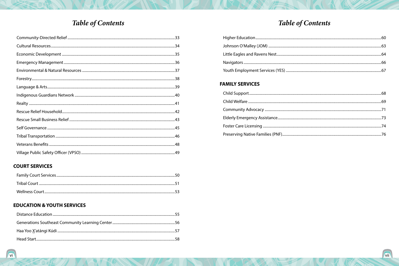### **Table of Contents**

#### **COURT SERVICES**

#### **EDUCATION & YOUTH SERVICES**

# **Table of Contents**

### **FAMILY SERVICES**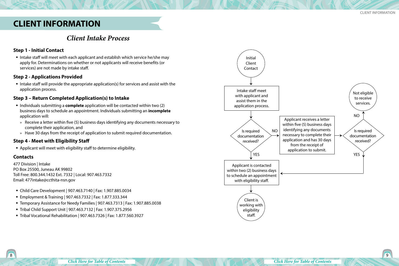### <span id="page-4-0"></span>**CLIENT INFORMATION**

### *Client Intake Process*

#### **Step 1 - Initial Contact**

 Intake staff will meet with each applicant and establish which service he/she may apply for. Determinations on whether or not applicants will receive benefits (or services) are not made by intake staff.

#### **Step 2 - Applications Provided**

Intake staff will provide the appropriate application(s) for services and assist with the application process.

#### **Step 3 – Return Completed Application(s) to Intake**

- Individuals submitting a **complete** application will be contacted within two (2) business days to schedule an appointment. Individuals submitting an **incomplete** application will:
- » Receive a letter within five (5) business days identifying any documents necessary to complete their application, and
- » Have 30 days from the receipt of application to submit required documentation.

#### **Step 4 - Meet with Eligibility Staff**

Applicant will meet with eligibility staff to determine eligibility.

#### **Contacts**

477 Division | Intake PO Box 25500, Juneau AK 99802 Toll Free: 800.344.1432 Ext. 7332 | Local: 907.463.7332 Email: 477intake@ccthita-nsn.gov

- Child Care Development | 907.463.7140 | Fax: 1.907.885.0034
- Employment & Training | 907.463.7332 | Fax: 1.877.333.344
- Temporary Assistance for Needy Families | 907.463.7313 | Fax: 1.907.885.0038
- Tribal Child Support Unit | 907.463.7132 | Fax: 1.907.375.2956
- Tribal Vocational Rehabilitation | 907.463.7326 | Fax: 1.877.560.3927

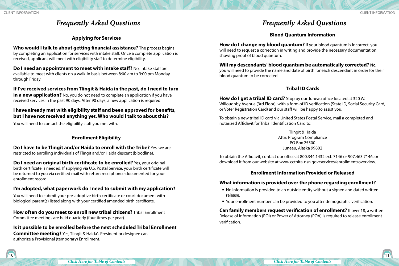### *Frequently Asked Questions*

#### **Applying for Services**

<span id="page-5-0"></span>**Who would I talk to about getting financial assistance?** The process begins by completing an application for services with intake staff. Once a complete application is received, applicant will meet with eligibility staff to determine eligibility.

**Do I need an appointment to meet with intake staff?** No, intake staff are available to meet with clients on a walk-in basis between 8:00 am to 3:00 pm Monday through Friday.

**If I've received services from Tlingit & Haida in the past, do I need to turn in a new application?** No, you do not need to complete an application if you have received services in the past 90 days. After 90 days, a new application is required.

#### **I have already met with eligibility staff and been approved for benefits, but I have not received anything yet. Who would I talk to about this?**

You will need to contact the eligibility staff you met with.

#### **Enrollment Eligibility**

**Do I have to be Tlingit and/or Haida to enroll with the Tribe?** Yes, we are restricted to enrolling individuals of Tlingit and/or Haida descent (bloodline).

**Do I need an original birth certificate to be enrolled?** Yes, your original birth certificate is needed. If applying via U.S. Postal Service, your birth certificate will be returned to you via certified mail with return receipt once documented for your enrollment record.

### **I'm adopted, what paperwork do I need to submit with my application?**

You will need to submit your pre-adoptive birth certificate or court document with biological parent(s) listed along with your certified amended birth certificate.

**How often do you meet to enroll new tribal citizens?** Tribal Enrollment Committee meetings are held quarterly (four times per year).

### **Is it possible to be enrolled before the next scheduled Tribal Enrollment**

**Committee meeting?** Yes, Tlingit & Haida's President or designee can authorize a Provisional (temporary) Enrollment.

### *Frequently Asked Questions*

#### **Blood Quantum Information**

**How do I change my blood quantum?** If your blood quantum is incorrect, you will need to request a correction in writing and provide the necessary documentation showing proof of blood quantum.

**Will my descendants' blood quantum be automatically corrected?** No, you will need to provide the name and date of birth for each descendant in order for their blood quantum to be corrected.

#### **Tribal ID Cards**

**How do I get a tribal ID card?** Stop by our Juneau office located at 320 W. Willoughby Avenue (3rd Floor), with a form of ID verification (State ID, Social Security Card, or Voter Registration Card) and our staff will be happy to assist you.

To obtain a new tribal ID card via United States Postal Service, mail a completed and notarized Affidavit for Tribal Identification Card to:

> Tlingit & Haida Attn: Program Compliance PO Box 25500 Juneau, Alaska 99802

To obtain the Affidavit, contact our office at 800.344.1432 ext. 7146 or 907.463.7146, or download it from our website at www.ccthita-nsn.gov/services/enrollment/overview.

#### **Enrollment Information Provided or Released**

#### **What information is provided over the phone regarding enrollment?**

- No information is provided to an outside entity without a signed and dated written release.
- Your enrollment number can be provided to you after demographic verification.

**Can family members request verification of enrollment?** If over 18, a written Release of Information (ROI) or Power of Attorney (POA) is required to release enrollment verification.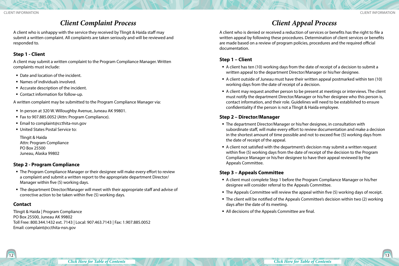### *Client Complaint Process*

<span id="page-6-0"></span>A client who is unhappy with the service they received by Tlingit & Haida staff may submit a written complaint. All complaints are taken seriously and will be reviewed and responded to.

#### **Step 1 - Client**

A client may submit a written complaint to the Program Compliance Manager. Written complaints must include:

- Date and location of the incident.
- Names of individuals involved.
- Accurate description of the incident.
- Contact information for follow-up.

A written complaint may be submitted to the Program Compliance Manager via:

- In person at 320 W. Willoughby Avenue, Juneau AK 99801.
- Fax to 907.885.0052 (Attn: Program Compliance).
- Email to complaint@ccthita-nsn.gov
- United States Postal Service to:

Tlingit & Haida Attn: Program Compliance PO Box 25500 Juneau, Alaska 99802

#### **Step 2 - Program Compliance**

- The Program Compliance Manager or their designee will make every effort to review a complaint and submit a written report to the appropriate department Director/ Manager within five (5) working days.
- The department Director/Manager will meet with their appropriate staff and advise of corrective action to be taken within five (5) working days.

#### **Contact**

Tlingit & Haida | Program Compliance PO Box 25500, Juneau AK 99802 Toll Free: 800.344.1432 ext. 7143 | Local: 907.463.7143 | Fax: 1.907.885.0052 Email: complaint@ccthita-nsn.gov

### *Client Appeal Process*

A client who is denied or received a reduction of services or benefits has the right to file a written appeal by following these procedures. Determination of client services or benefits are made based on a review of program policies, procedures and the required official documentation.

#### **Step 1 – Client**

- A client has ten (10) working days from the date of receipt of a decision to submit a written appeal to the department Director/Manager or his/her designee.
- A client outside of Juneau must have their written appeal postmarked within ten (10) working days from the date of receipt of a decision.
- A client may request another person to be present at meetings or interviews. The client must notify the department Director/Manager or his/her designee who this person is, contact information, and their role. Guidelines will need to be established to ensure confidentiality if the person is not a Tlingit & Haida employee.

#### **Step 2 – Director/Manager**

- The department Director/Manager or his/her designee, in consultation with subordinate staff, will make every effort to review documentation and make a decision in the shortest amount of time possible and not to exceed five (5) working days from the date of receipt of the appeal.
- A client not satisfied with the department's decision may submit a written request within five (5) working days from the date of receipt of the decision to the Program Compliance Manager or his/her designee to have their appeal reviewed by the Appeals Committee.

#### **Step 3 – Appeals Committee**

- A client must complete Step 1 before the Program Compliance Manager or his/her designee will consider referral to the Appeals Committee.
- The Appeals Committee will review the appeal within five (5) working days of receipt.
- The client will be notified of the Appeals Committee's decision within two (2) working days after the date of its meeting.
- All decisions of the Appeals Committee are final.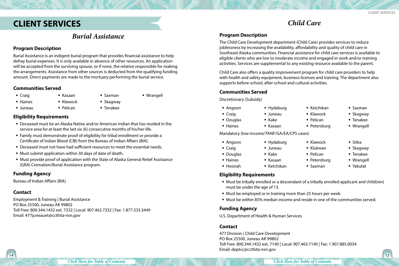### <span id="page-7-0"></span>**CLIENT SERVICES**

### *Burial Assistance*

#### **Program Description**

Burial Assistance is an indigent burial program that provides financial assistance to help defray burial expenses. It is only available in absence of other resources. An application will be accepted from the surviving spouse, or if none, the relative responsible for making the arrangements. Assistance from other sources is deducted from the qualifying funding amount. Direct payments are made to the mortuary performing the burial service.

#### **Communities Served**

- Craig
- **Haines** Juneau
- **Skagway** 
	- Tenakee

 $\blacksquare$  Saxman

#### **Eligibility Requirements**

- Deceased must be an Alaska Native and/or American Indian that has resided in the service area for at least the last six (6) consecutive months of his/her life.
- Family must demonstrate proof of eligibility for tribal enrollment or provide a Certificate of Indian Blood (CIB) from the Bureau of Indian Affairs (BIA).
- Deceased must not have had sufficient resources to meet the essential needs.
- Must submit application within 30 days of date of death.

 Kasaan  $\blacksquare$  Klawock  $\blacksquare$  Pelican

 Must provide proof of application with the State of Alaska General Relief Assistance (GRA) Cremation/Burial Assistance program.

#### **Funding Agency**

Bureau of Indian Affairs (BIA)

#### **Contact**

Employment & Training | Burial Assistance PO Box 25500, Juneau AK 99802 Toll Free: 800.344.1432 ext. 7332 | Local: 907.463.7332 | Fax: 1.877.333.3449 Email: 477juneauet@ccthita-nsn.gov

#### **Program Description**

The Child Care Development department (Child Care) provides services to reduce joblessness by increasing the availability, affordability and quality of child care in Southeast Alaska communities. Financial assistance for child care services is available to eligible clients who are low to moderate income and engaged in work and/or training activities. Services are supplemental to any existing resource available to the parent.

*Child Care*

Child Care also offers a quality improvement program for child care providers to help with health and safety equipment, business licenses and training. The department also supports before-school, after-school and cultural activities.

#### **Communities Served**

Discretionary (Subsidy)

- Angoon ■ Hydaburg
- Craig
- **Douglas**
- **Haines**

Mandatory (low-income/TANF/GA/EA/CPS cases)

 Juneau Kake Kasaan

 Juneau  $Kake$ 

- Hydaburg
- Angoon
- Craig
- Douglas ■ Haines
- Kasaan
- Hoonah ■ Ketchikan

#### **Eligibility Requirements**

- Must be tribally enrolled or a descendant of a tribally enrolled applicant and child(ren) must be under the age of 13.
- Must be employed or in training more than 25 hours per week.
- Must be within 85% median income and reside in one of the communities served.

#### **Funding Agency**

U.S. Department of Health & Human Services

#### **Contact**

477 Division | Child Care Development PO Box 25500, Juneau AK 99802 Toll Free: 800.344.1432 ext. 7140 | Local: 907.463.7140 | Fax: 1.907.885.0034 Email: deptcc@ccthita-nsn.gov

■ Klawock

■ Ketchikan

■ Pelican • Petersburg

■ Klawock Klukwan ■ Pelican • Petersburg Saxman

■ Skagway

 $\blacksquare$  Saxman

- Tenakee
- Wrangell
- Sitka
- **Skagway**
- Tenakee
- Wrangell
- Yakutat

Wrangell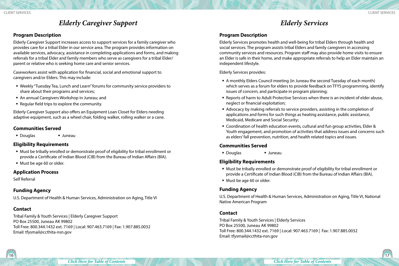### *Elderly Caregiver Support*

#### <span id="page-8-0"></span>**Program Description**

Elderly Caregiver Support increases access to support services for a family caregiver who provides care for a tribal Elder in our service area. The program provides information on available services, advocacy, assistance in completing applications and forms, and making referrals for a tribal Elder and family members who serve as caregivers for a tribal Elder/ parent or relative who is seeking home care and senior services.

Caseworkers assist with application for financial, social and emotional support to caregivers and/or Elders. This may include:

- Weekly "Tuesday Tea, Lunch and Learn" forums for community service providers to share about their programs and services;
- An annual Caregivers Workshop in Juneau; and
- Regular field trips to explore the community.

Elderly Caregiver Support also offers an Equipment Loan Closet for Elders needing adaptive equipment, such as a wheel chair, folding walker, rolling walker or a cane.

#### **Communities Served**

■ Douglas ■ Juneau

#### **Eligibility Requirements**

- Must be tribally enrolled or demonstrate proof of eligibility for tribal enrollment or provide a Certificate of Indian Blood (CIB) from the Bureau of Indian Affairs (BIA).
- Must be age 60 or older.

#### **Application Process**

Self Referral

#### **Funding Agency**

U.S. Department of Health & Human Services, Administration on Aging, Title VI

#### **Contact**

Tribal Family & Youth Services | Elderly Caregiver Support PO Box 25500, Juneau AK 99802 Toll Free: 800.344.1432 ext. 7169 | Local: 907.463.7169 | Fax: 1.907.885.0032 Email: tfysmail@ccthita-nsn.gov

### *Elderly Services*

#### **Program Description**

Elderly Services promotes health and well-being for tribal Elders through health and social services. The program assists tribal Elders and family caregivers in accessing community services and resources. Program staff may also provide home visits to ensure an Elder is safe in their home, and make appropriate referrals to help an Elder maintain an independent lifestyle.

Elderly Services provides:

- A monthly Elders Council meeting (in Juneau the second Tuesday of each month) which serves as a forum for elders to provide feedback on TFYS programming, identify issues of concern, and participate in program planning;
- Reports of harm to Adult Protective Services when there is an incident of elder abuse, neglect or financial exploitation;
- Advocacy by making referrals to service providers, assisting in the completion of applications and forms for such things as heating assistance, public assistance, Medicaid, Medicare and Social Security;
- Coordination of health education events, cultural and fun group activities, Elder & Youth engagement, and promotion of activities that address issues and concerns such as elders' fall prevention, nutrition, and health related topics and issues.

#### **Communities Served**

Douglas Juneau

#### **Eligibility Requirements**

- Must be tribally enrolled or demonstrate proof of eligibility for tribal enrollment or provide a Certificate of Indian Blood (CIB) from the Bureau of Indian Affairs (BIA).
- Must be age 60 or older.

#### **Funding Agency**

U.S. Department of Health & Human Services, Administration on Aging, Title VI, National Native American Program

#### **Contact**

Tribal Family & Youth Services | Elderly Services PO Box 25500, Juneau AK 99802 Toll Free: 800.344.1432 ext. 7169 | Local: 907.463.7169 | Fax: 1.907.885.0032 Email: tfysmail@ccthita-nsn.gov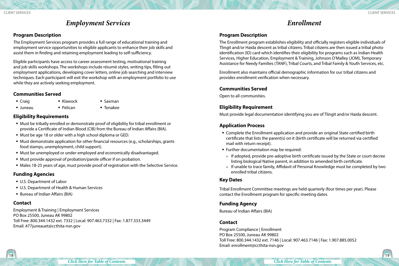### *Employment Services*

#### <span id="page-9-0"></span>**Program Description**

The Employment Services program provides a full range of educational training and employment service opportunities to eligible applicants to enhance their job skills and assist them in finding and retaining employment leading to self-sufficiency.

Eligible participants have access to career assessment testing, motivational training and job skills workshops. The workshops include résumé styles, writing tips, filling out employment applications, developing cover letters, online job searching and interview techniques. Each participant will exit the workshop with an employment portfolio to use while they are actively seeking employment.

#### **Communities Served**

■ Craig

- Saxman
- Juneau • Pelican
- Tenakee

#### **Eligibility Requirements**

- Must be tribally enrolled or demonstrate proof of eligibility for tribal enrollment or provide a Certificate of Indian Blood (CIB) from the Bureau of Indian Affairs (BIA).
- Must be age 18 or older with a high school diploma or GED.

■ Klawock

- Must demonstrate application for other financial resources (e.g., scholarships, grants food stamps, unemployment, child support).
- Must be unemployed or under-employed and economically disadvantaged.
- Must provide approval of probation/parole officer if on probation.
- Males 18-25 years of age, must provide proof of registration with the Selective Service.

#### **Funding Agencies**

- U.S. Department of Labor
- U.S. Department of Health & Human Services
- Bureau of Indian Affairs (BIA)

#### **Contact**

Employment & Training | Employment Services PO Box 25500, Juneau AK 99802 Toll Free: 800.344.1432 ext. 7332 | Local: 907.463.7332 | Fax: 1.877.333.3449 Email: 477juneauet@ccthita-nsn.gov

### *Enrollment*

#### **Program Description**

The Enrollment program establishes eligibility and officially registers eligible individuals of Tlingit and/or Haida descent as tribal citizens. Tribal citizens are then issued a tribal photo identification (ID) card which identifies their eligibility for programs such as Indian Health Services, Higher Education, Employment & Training, Johnson O'Malley (JOM), Temporary Assistance for Needy Families (TANF), Tribal Courts, and Tribal Family & Youth Services, etc.

Enrollment also maintains official demographic information for our tribal citizens and provides enrollment verification when necessary.

#### **Communities Served**

Open to all communities.

#### **Eligibility Requirement**

Must provide legal documentation identifying you are of Tlingit and/or Haida descent.

#### **Application Process**

- Complete the Enrollment application and provide an original State certified birth certificate that lists the parent(s) on it (birth certificate will be returned via certified mail with return receipt).
- **Further documentation may be required:**
- » If adopted, provide pre-adoptive birth certificate issued by the State or court decree listing biological Native parent, in addition to amended birth certificate.
- » If unable to trace family, Affidavit of Personal Knowledge must be completed by two enrolled tribal citizens.

#### **Key Dates**

Tribal Enrollment Committee meetings are held quarterly (four times per year). Please contact the Enrollment program for specific meeting dates.

#### **Funding Agency**

Bureau of Indian Affairs (BIA)

#### **Contact**

Program Compliance | Enrollment PO Box 25500, Juneau AK 99802 Toll Free: 800.344.1432 ext. 7146 | Local: 907.463.7146 | Fax: 1.907.885.0052 Email: enrollment@ccthita-nsn.gov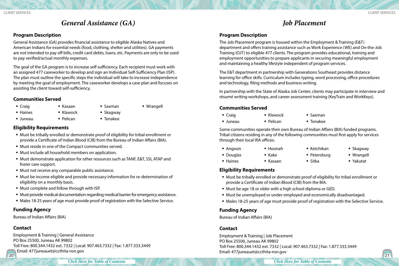### *General Assistance (GA)*

#### <span id="page-10-0"></span>**Program Description**

General Assistance (GA) provides financial assistance to eligible Alaska Natives and American Indians for essential needs (food, clothing, shelter and utilities). GA payments are not intended to pay off bills, credit card debts, loans, etc. Payments are only to be used to pay verified/actual monthly expenses.

The goal of the GA program is to increase self-sufficiency. Each recipient must work with an assigned 477 caseworker to develop and sign an Individual Self-Sufficiency Plan (ISP). The plan must outline the specific steps the individual will take to increase independence by meeting the goal of employment. The caseworker develops a case plan and focuses on assisting the client toward self-sufficiency.

#### **Communities Served**

■ Craig

■ Haines

- Saxman
	- Skagway

Juneau

Tenakee

#### **Eligibility Requirements**

- Must be tribally enrolled or demonstrate proof of eligibility for tribal enrollment or provide a Certificate of Indian Blood (CIB) from the Bureau of Indian Affairs (BIA).
- Must reside in one of the Compact communities served.
- Must include all household members on application.

 Kasaan ■ Klawock Pelican

- Must demonstrate application for other resources such as TANF, E&T, SSI, ATAP and foster care support.
- Must not receive any comparable public assistance.
- Must be income eligible and provide necessary information for re-determination of eligibility on a monthly basis.
- Must complete and follow through with ISP.
- Must provide medical documentation regarding medical barrier for emergency assistance.
- Males 18-25 years of age must provide proof of registration with the Selective Service.

#### **Funding Agency**

Bureau of Indian Affairs (BIA)

#### **Contact**

 $20 \sqrt{21}$ Employment & Training | General Assistance PO Box 25500, Juneau AK 99802 Toll Free: 800.344.1432 ext. 7332 | Local: 907.463.7332 | Fax: 1.877.333.3449 Email: 477 juneauet@ccthita-nsn.gov

Wrangell

**Program Description**

The Job Placement program is housed within the Employment & Training (E&T) department and offers training assistance such as Work Experience (WE) and On-the-Job Training (OJT) to eligible 477 clients. The program provides educational, training and employment opportunities to prepare applicants in securing meaningful employment and maintaining a healthy lifestyle independent of program services.

*Job Placement*

The E&T department in partnership with Generations Southeast provides distance learning for office skills. Curriculum includes typing, word processing, office procedures and technology, filing methods and business writing.

In partnership with the State of Alaska Job Center, clients may participate in interview and résumé writing workshops, and career assessment training (KeyTrain and WorkKeys).

#### **Communities Served**

Craig  $\blacksquare$  Klawock ■ Pelican Saxman

Kasaan

Juneau

■ Tenakee

■ Sitka

Some communities operate their own Bureau of Indian Affairs (BIA) funded programs. Tribal citizens residing in any of the following communities must first apply for services through their local IRA offices:

- Angoon Hoonah  $\blacksquare$  Ketchikan
- Douglas
- **Haines**
- Kake
- Petersburg
- Skagway Wrangell
- Yakutat

#### **Eligibility Requirements**

- Must be tribally enrolled or demonstrate proof of eligibility for tribal enrollment or provide a Certificate of Indian Blood (CIB) from the BIA.
- Must be age 18 or older with a high school diploma or GED.
- Must be unemployed or under-employed and economically disadvantaged.
- Males 18-25 years of age must provide proof of registration with the Selective Service.

#### **Funding Agency**

Bureau of Indian Affairs (BIA)

#### **Contact**

Employment & Training | Job Placement PO Box 25500, Juneau AK 99802 Toll Free: 800.344.1432 ext. 7332 | Local: 907.463.7332 | Fax: 1.877.333.3449 Email: 477juneauet@ccthita-nsn.gov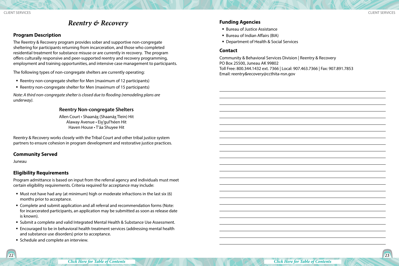### *Reentry & Recovery*

#### <span id="page-11-0"></span>**Program Description**

The Reentry & Recovery program provides sober and supportive non-congregate sheltering for participants returning from incarceration, and those who completed residential treatment for substance misuse or are currently in recovery. The program offers culturally responsive and peer-supported reentry and recovery programming, employment and training opportunities, and intensive case management to participants.

The following types of non-congregate shelters are currently operating:

- Reentry non-congregate shelter for Men (maximum of 12 participants)
- Reentry non-congregate shelter for Men (maximum of 15 participants)

*Note: A third non-congregate shelter is closed due to flooding (remodeling plans are underway).* 

#### **Reentry Non-congregate Shelters**

Allen Court • Shaanáx (Shaanáx Tlein) Hit Alaway Avenue • Eix'gul'héen Hit Haven House • T'áa Shuyee Hit

Reentry & Recovery works closely with the Tribal Court and other tribal justice system partners to ensure cohesion in program development and restorative justice practices.

#### **Community Served**

Juneau

#### **Eligibility Requirements**

Program admittance is based on input from the referral agency and individuals must meet certain eligibility requirements. Criteria required for acceptance may include:

- $\blacksquare$  Must not have had any (at minimum) high or moderate infractions in the last six (6) months prior to acceptance.
- Complete and submit application and all referral and recommendation forms (Note: for incarcerated participants, an application may be submitted as soon as release date is known).
- Submit a complete and valid Integrated Mental Health & Substance Use Assessment.
- Encouraged to be in behavioral health treatment services (addressing mental health and substance use disorders) prior to acceptance.
- **Schedule and complete an interview.**

#### **Funding Agencies**

- Bureau of Justice Assistance
- Bureau of Indian Affairs (BIA)
- Department of Health & Social Services

#### **Contact**

Community & Behavioral Services Division | Reentry & Recovery PO Box 25500, Juneau AK 99802 Toll Free: 800.344.1432 ext. 7366 | Local: 907.463.7366 | Fax: 907.891.7853 Email: reentry&recovery@ccthita-nsn.gov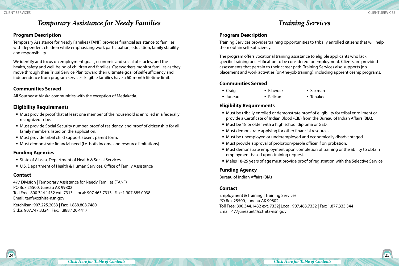### *Temporary Assistance for Needy Families*

#### <span id="page-12-0"></span>**Program Description**

Temporary Assistance for Needy Families (TANF) provides financial assistance to families with dependent children while emphasizing work participation, education, family stability and responsibility.

We identify and focus on employment goals, economic and social obstacles, and the health, safety and well-being of children and families. Caseworkers monitor families as they move through their Tribal Service Plan toward their ultimate goal of self-sufficiency and independence from program services. Eligible families have a 60-month lifetime limit.

#### **Communities Served**

All Southeast Alaska communities with the exception of Metlakatla.

#### **Eligibility Requirements**

- Must provide proof that at least one member of the household is enrolled in a federally recognized tribe.
- Must provide Social Security number, proof of residency, and proof of citizenship for all family members listed on the application.
- Must provide tribal child support absent parent form.
- Must demonstrate financial need (i.e. both income and resource limitations).

#### **Funding Agencies**

- State of Alaska, Department of Health & Social Services
- U.S. Department of Health & Human Services, Office of Family Assistance

#### **Contact**

477 Division | Temporary Assistance for Needy Families (TANF) PO Box 25500, Juneau AK 99802 Toll Free: 800.344.1432 ext. 7313 | Local: 907.463.7313 | Fax: 1.907.885.0038 Email: tanf@ccthita-nsn.gov

Ketchikan: 907.225.2033 | Fax: 1.888.808.7480 Sitka: 907.747.3324 | Fax: 1.888.420.4417

### *Training Services*

#### **Program Description**

Training Services provides training opportunities to tribally enrolled citizens that will help them obtain self-sufficiency.

The program offers vocational training assistance to eligible applicants who lack specific training or certification to be considered for employment. Clients are provided assessments that pertain to their career path. Training Services also supports job placement and work activities (on-the-job training), including apprenticeship programs.

#### **Communities Served**

- Craig
- $\blacksquare$  Klawock ■ Saxman
- Juneau • Pelican Tenakee

#### **Eligibility Requirements**

- Must be tribally enrolled or demonstrate proof of eligibility for tribal enrollment or provide a Certificate of Indian Blood (CIB) from the Bureau of Indian Affairs (BIA).
- Must be 18 or older with a high school diploma or GED.
- Must demonstrate applying for other financial resources.
- Must be unemployed or underemployed and economically disadvantaged.
- Must provide approval of probation/parole officer if on probation.
- Must demonstrate employment upon completion of training or the ability to obtain employment based upon training request.
- Males 18-25 years of age must provide proof of registration with the Selective Service.

#### **Funding Agency**

Bureau of Indian Affairs (BIA)

#### **Contact**

Employment & Training | Training Services PO Box 25500, Juneau AK 99802 Toll Free: 800.344.1432 ext. 7332| Local: 907.463.7332 | Fax: 1.877.333.344 Email: 477juneauet@ccthita-nsn.gov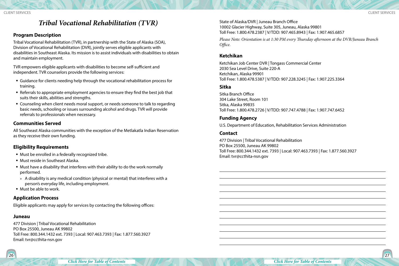### *Tribal Vocational Rehabilitation (TVR)*

#### <span id="page-13-0"></span>**Program Description**

Tribal Vocational Rehabilitation (TVR), in partnership with the State of Alaska (SOA), Division of Vocational Rehabilitation (DVR), jointly serves eligible applicants with disabilities in Southeast Alaska. Its mission is to assist individuals with disabilities to obtain and maintain employment.

TVR empowers eligible applicants with disabilities to become self-sufficient and independent. TVR counselors provide the following services:

- Guidance for clients needing help through the vocational rehabilitation process for training.
- Referrals to appropriate employment agencies to ensure they find the best job that suits their skills, abilities and strengths.
- Counseling when client needs moral support, or needs someone to talk to regarding basic needs, schooling or issues surrounding alcohol and drugs. TVR will provide referrals to professionals when necessary.

#### **Communities Served**

All Southeast Alaska communities with the exception of the Metlakatla Indian Reservation as they receive their own funding.

#### **Eligibility Requirements**

- Must be enrolled in a federally recognized tribe.
- Must reside in Southeast Alaska.
- Must have a disability that interferes with their ability to do the work normally performed.
- » A disability is any medical condition (physical or mental) that interferes with a person's everyday life, including employment.
- Must be able to work.

#### **Application Process**

Eligible applicants may apply for services by contacting the following offices:

#### **Juneau**

477 Division | Tribal Vocational Rehabilitation PO Box 25500, Juneau AK 99802 Toll Free: 800.344.1432 ext. 7393 | Local: 907.463.7393 | Fax: 1.877.560.3927 Email: tvr@ccthita-nsn.gov

State of Alaska/DVR | Juneau Branch Office 10002 Glacier Highway, Suite 305, Juneau, Alaska 99801 Toll Free: 1.800.478.2387 | V/TDD: 907.465.8943 | Fax: 1.907.465.6857

*Please Note: Orientation is at 1:30 PM every Thursday afternoon at the DVR/Juneau Branch Office.* 

#### **Ketchikan**

Ketchikan Job Center DVR | Tongass Commercial Center 2030 Sea Level Drive, Suite 220-A Ketchikan, Alaska 99901 Toll Free: 1.800.478.5387 | V/TDD: 907.228.3245 | Fax: 1.907.225.3364

#### **Sitka**

Sitka Branch Office 304 Lake Street, Room 101 Sitka, Alaska 99835 Toll Free: 1.800.478.2726 | V/TDD: 907.747.4788 | Fax: 1.907.747.6452

#### **Funding Agency**

U.S. Department of Education, Rehabilitation Services Administration

#### **Contact**

477 Division | Tribal Vocational Rehabilitation PO Box 25500, Juneau AK 99802 Toll Free: 800.344.1432 ext. 7393 | Local: 907.463.7393 | Fax: 1.877.560.3927 Email: tvr@ccthita-nsn.gov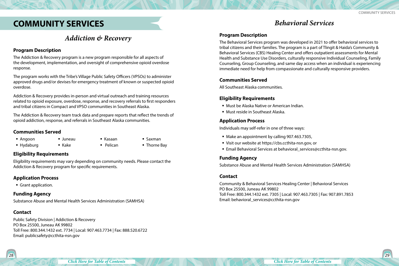### <span id="page-14-0"></span>**COMMUNITY SERVICES**

### *Addiction & Recovery*

#### **Program Description**

The Addiction & Recovery program is a new program responsible for all aspects of the development, implementation, and oversight of comprehensive opioid overdose response.

The program works with the Tribe's Village Public Safety Officers (VPSOs) to administer approved drugs and/or devises for emergency treatment of known or suspected opioid overdose.

Addiction & Recovery provides in-person and virtual outreach and training resources related to opioid exposure, overdose, response, and recovery referrals to first responders and tribal citizens in Compact and VPSO communities in Southeast Alaska.

The Addiction & Recovery team track data and prepare reports that reflect the trends of opioid addiction, response, and referrals in Southeast Alaska communities.

Kasaan

#### **Communities Served**

- Angoon
- Hydaburg Juneau  $\blacksquare$  Kake
- Saxman
- **Pelican** ■ Thorne Bay

#### **Eligibility Requirements**

Eligibility requirements may vary depending on community needs. Please contact the Addiction & Recovery program for specific requirements.

#### **Application Process**

Grant application.

#### **Funding Agency**

Substance Abuse and Mental Health Services Administration (SAMHSA)

#### **Contact**

Public Safety Division | Addiction & Recovery PO Box 25500, Juneau AK 99802 Toll Free: 800.344.1432 ext. 7734 | Local: 907.463.7734 | Fax: 888.520.6722 Email: publicsafety@ccthita-nsn.gov

### *Behavioral Services*

#### **Program Description**

The Behavioral Services program was developed in 2021 to offer behavioral services to tribal citizens and their families. The program is a part of Tlingit & Haida's Community & Behavioral Services (CBS) Healing Center and offers outpatient assessments for Mental Health and Substance Use Disorders, culturally responsive Individual Counseling, Family Counseling, Group Counseling, and same day access when an individual is experiencing immediate need for help from compassionate and culturally responsive providers.

#### **Communities Served**

All Southeast Alaska communities.

#### **Eligibility Requirements**

- Must be Alaska Native or American Indian.
- Must reside in Southeast Alaska.

#### **Application Process**

Individuals may self-refer in one of three ways:

- Make an appointment by calling 907.463.7305,
- Visit our website at https://cbs.ccthita-nsn.gov, or
- Email Behavioral Services at behavioral services@ccthita-nsn.gov.

#### **Funding Agency**

Substance Abuse and Mental Health Services Administration (SAMHSA)

#### **Contact**

Community & Behavioral Services Healing Center | Behavioral Services PO Box 25500, Juneau AK 99802 Toll Free: 800.344.1432 ext. 7305 | Local: 907.463.7305 | Fax: 907.891.7853 Email: behavioral\_services@ccthita-nsn.gov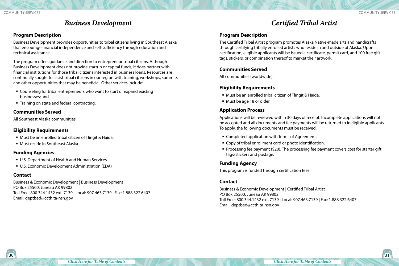### *Business Development*

#### <span id="page-15-0"></span>**Program Description**

Business Development provides opportunities to tribal citizens living in Southeast Alaska that encourage financial independence and self-sufficiency through education and technical assistance.

The program offers guidance and direction to entrepreneur tribal citizens. Although Business Development does not provide startup or capital funds, it does partner with financial institutions for those tribal citizens interested in business loans. Resources are continually sought to assist tribal citizens in our region with training, workshops, summits and other opportunities that may be beneficial. Other services include:

- Counseling for tribal entrepreneurs who want to start or expand existing businesses; and
- **Training on state and federal contracting.**

#### **Communities Served**

All Southeast Alaska communities.

#### **Eligibility Requirements**

- Must be an enrolled tribal citizen of Tlingit & Haida.
- Must reside in Southeast Alaska.

#### **Funding Agencies**

- **U.S. Department of Health and Human Services**
- U.S. Economic Development Administration (EDA)

#### **Contact**

Business & Economic Development | Business Development PO Box 25500, Juneau AK 99802 Toll Free: 800.344.1432 ext. 7139 | Local: 907.463.7139 | Fax: 1.888.322.6407 Email: deptbed@ccthita-nsn.gov

### *Certified Tribal Artist*

#### **Program Description**

The Certified Tribal Artist program promotes Alaska Native-made arts and handicrafts through certifying tribally enrolled artists who reside in and outside of Alaska. Upon certification, eligible applicants will be issued a certificate, permit card, and 100 free gift tags, stickers, or combination thereof to market their artwork.

#### **Communities Served**

All communities (worldwide).

#### **Eligibility Requirements**

- Must be an enrolled tribal citizen of Tlingit & Haida.
- Must be age 18 or older.

#### **Application Process**

Applications will be reviewed within 30 days of receipt. Incomplete applications will not be accepted and all documents and fee payments will be returned to ineligible applicants. To apply, the following documents must be received:

- **EX Completed application with Terms of Agreement.**
- Copy of tribal enrollment card or photo identification.
- **Processing fee payment (\$20). The processing fee payment covers cost for starter gift** tags/stickers and postage.

#### **Funding Agency**

This program is funded through certification fees.

#### **Contact**

Business & Economic Development | Certified Tribal Artist PO Box 25500, Juneau AK 99802 Toll Free: 800.344.1432 ext. 7139 | Local: 907.463.7139 | Fax: 1.888.322.6407 Email: deptbed@ccthita-nsn.gov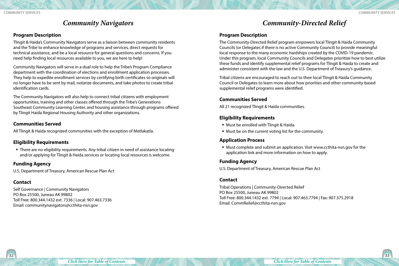### *Community Navigators*

#### <span id="page-16-0"></span>**Program Description**

Tlingit & Haida's Community Navigators serve as a liaison between community residents and the Tribe to enhance knowledge of programs and services, direct requests for technical assistance, and be a local resource for general questions and concerns. If you need help finding local resources available to you, we are here to help!

Community Navigators will serve in a dual role to help the Tribe's Program Compliance department with the coordination of elections and enrollment application processes. They help to expedite enrollment services by certifying birth certificates so originals will no longer have to be sent by mail, notarize documents, and take photos to create tribal identification cards.

The Community Navigators will also help to connect tribal citizens with employment opportunities, training and other classes offered through the Tribe's Generations Southeast Community Learning Center, and housing assistance through programs offered by Tlingit Haida Regional Housing Authority and other organizations.

#### **Communities Served**

All Tlingit & Haida recognized communities with the exception of Metlakatla.

#### **Eligibility Requirements**

• There are no eligibility requirements. Any tribal citizen in need of assistance locating and/or applying for Tlingit & Haida services or locating local resources is welcome.

#### **Funding Agency**

U.S. Department of Treasury, American Rescue Plan Act

#### **Contact**

Self Governance | Community Navigators PO Box 25500, Juneau AK 99802 Toll Free: 800.344.1432 ext. 7336 | Local: 907.463.7336 Email: communitynavigators@ccthita-nsn.gov

### *Community-Directed Relief*

#### **Program Description**

The Community-Directed Relief program empowers local Tlingit & Haida Community Councils (or Delegates if there is no active Community Council) to provide meaningful local response to the many economic hardships created by the COVID-19 pandemic. Under this program, local Community Councils and Delegates prioritize how to best utilize these funds and identify supplemental relief programs for Tlingit & Haida to create and administer consistent with the law and the U.S. Department of Treasury's guidance.

Tribal citizens are encouraged to reach out to their local Tlingit & Haida Community Council or Delegates to learn more about how priorities and other community-based supplemental relief programs were identified.

#### **Communities Served**

All 21 recognized Tlingit & Haida communities.

#### **Eligibility Requirements**

- Must be enrolled with Tlingit & Haida.
- Must be on the current voting list for the community.

#### **Application Process**

 Must complete and submit an application. Visit www.ccthita-nsn.gov for the application link and more information on how to apply.

#### **Funding Agency**

U.S. Department of Treasury, American Rescue Plan Act

#### **Contact**

Tribal Operations | Community-Directed Relief PO Box 25500, Juneau AK 99802 Toll Free: 800.344.1432 ext. 7794 | Local: 907.463.7794 | Fax: 907.375.2918 Email: CommRelief@ccthita-nsn.gov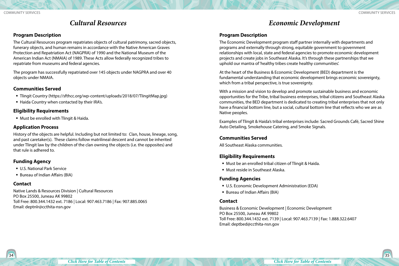### *Cultural Resources*

#### <span id="page-17-0"></span>**Program Description**

The Cultural Resources program repatriates objects of cultural patrimony, sacred objects, funerary objects, and human remains in accordance with the Native American Graves Protection and Repatriation Act (NAGPRA) of 1990 and the National Museum of the American Indian Act (NMAIA) of 1989. These Acts allow federally recognized tribes to repatriate from museums and federal agencies.

The program has successfully repatriated over 145 objects under NAGPRA and over 40 objects under NMAIA.

#### **Communities Served**

- Tlingit Country (https://sfthcc.org/wp-content/uploads/2018/07/TlingitMap.jpg)
- Haida Country when contacted by their IRA's.

#### **Eligibility Requirements**

Must be enrolled with Tlingit & Haida.

#### **Application Process**

History of the objects are helpful. Including but not limited to: Clan, house, lineage, song, and past caretaker(s). These claims follow matrilineal descent and cannot be inherited under Tlingit law by the children of the clan owning the objects (i.e. the opposites) and that rule is adhered to.

#### **Funding Agency**

- U.S. National Park Service
- Bureau of Indian Affairs (BIA)

#### **Contact**

Native Lands & Resources Division | Cultural Resources PO Box 25500, Juneau AK 99802 Toll Free: 800.344.1432 ext. 7186 | Local: 907.463.7186 | Fax: 907.885.0065 Email: deptnlr@ccthita-nsn.gov

### *Economic Development*

#### **Program Description**

The Economic Development program staff partner internally with departments and programs and externally through strong, equitable government to government relationships with local, state and federal agencies to promote economic development projects and create jobs in Southeast Alaska. It's through these partnerships that we uphold our mantra of 'healthy tribes create healthy communities'.

At the heart of the Business & Economic Development (BED) department is the fundamental understanding that economic development brings economic sovereignty, which from a tribal perspective, is true sovereignty.

With a mission and vision to develop and promote sustainable business and economic opportunities for the Tribe, tribal business enterprises, tribal citizens and Southeast Alaska communities, the BED department is dedicated to creating tribal enterprises that not only have a financial bottom line, but a social, cultural bottom line that reflects who we are as Native peoples.

Examples of Tlingit & Haida's tribal enterprises include: Sacred Grounds Café, Sacred Shine Auto Detailing, Smokehouse Catering, and Smoke Signals.

#### **Communities Served**

All Southeast Alaska communities.

#### **Eligibility Requirements**

- Must be an enrolled tribal citizen of Tlingit & Haida.
- Must reside in Southeast Alaska.

#### **Funding Agencies**

- U.S. Economic Development Administration (EDA)
- Bureau of Indian Affairs (BIA)

#### **Contact**

Business & Economic Development | Economic Development PO Box 25500, Juneau AK 99802 Toll Free: 800.344.1432 ext. 7139 | Local: 907.463.7139 | Fax: 1.888.322.6407 Email: deptbed@ccthita-nsn.gov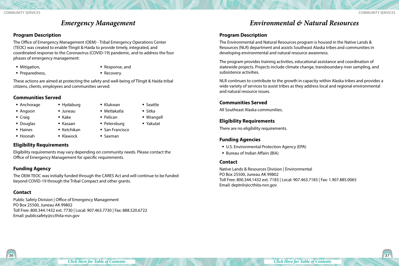### *Emergency Management*

#### <span id="page-18-0"></span>**Program Description**

The Office of Emergency Management (OEM) - Tribal Emergency Operations Center (TEOC) was created to enable Tlingit & Haida to provide timely, integrated, and coordinated response to the Coronavirus (COVID-19) pandemic, and to address the four phases of emergency management:

- Mitigation,
- **Preparedness,**
- Response, and **Recovery.**
- These actions are aimed at protecting the safety and well-being of Tlingit & Haida tribal citizens, clients, employees and communities served.

■ Hydaburg Juneau ■ Kake Kasaan ■ Ketchikan ■ Klawock

#### **Communities Served**

- Anchorage
- Angoon
- Craig
- **Douglas**
- Haines
- Hoonah
- 
- Seattle ■ Sitka

 Wrangell Yakutat

- 
- Pelican
- Petersburg
- San Francisco

**Eligibility Requirements**

Eligibility requirements may vary depending on community needs. Please contact the Office of Emergency Management for specific requirements.

#### **Funding Agency**

The OEM-TEOC was initially funded through the CARES Act and will continue to be funded beyond COVID-19 through the Tribal Compact and other grants.

#### **Contact**

Public Safety Division | Office of Emergency Management PO Box 25500, Juneau AK 99802 Toll Free: 800.344.1432 ext. 7730 | Local: 907.463.7730 | Fax: 888.520.6722 Email: publicsafety@ccthita-nsn.gov

#### $36$   $\sqrt{}$

### *Environmental & Natural Resources*

#### **Program Description**

The Environmental and Natural Resources program is housed in the Native Lands & Resources (NLR) department and assists Southeast Alaska tribes and communities in developing environmental and natural resource awareness.

The program provides training activities, educational assistance and coordination of statewide projects. Projects include climate change, transboundary river sampling, and subsistence activities.

NLR continues to contribute to the growth in capacity within Alaska tribes and provides a wide variety of services to assist tribes as they address local and regional environmental and natural resource issues.

#### **Communities Served**

All Southeast Alaska communities.

#### **Eligibility Requirements**

There are no eligibility requirements.

#### **Funding Agencies**

- U.S. Environmental Protection Agency (EPA)
- **Bureau of Indian Affairs (BIA)**

#### **Contact**

Native Lands & Resources Division | Environmental PO Box 25500, Juneau AK 99802 Toll Free: 800.344.1432 ext. 7183 | Local: 907.463.7183 | Fax: 1.907.885.0065 Email: deptnlr@ccthita-nsn.gov

 Klukwan Metlakatla

■ Saxman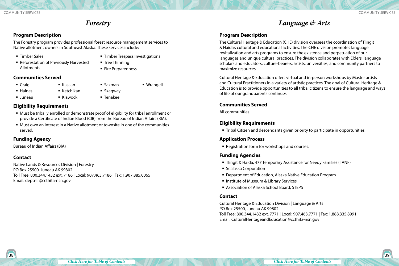### *Forestry*

#### <span id="page-19-0"></span>**Program Description**

The Forestry program provides professional forest resource management services to Native allotment owners in Southeast Alaska. These services include:

**Timber Sales** 

**Timber Trespass Investigations** 

Wrangell

 Reforestation of Previously Harvested Allotments

> Kasaan ■ Ketchikan  $\blacksquare$  Klawock

- 
- **Tree Thinning** 
	- Fire Preparedness

#### **Communities Served**

■ Craig

Juneau

**Haines** 

- $\blacksquare$  Saxman ■ Skagway
- Tenakee

#### **Eligibility Requirements**

- Must be tribally enrolled or demonstrate proof of eligibility for tribal enrollment or provide a Certificate of Indian Blood (CIB) from the Bureau of Indian Affairs (BIA).
- Must own an interest in a Native allotment or townsite in one of the communities served.

#### **Funding Agency**

Bureau of Indian Affairs (BIA)

#### **Contact**

Native Lands & Resources Division | Forestry PO Box 25500, Juneau AK 99802 Toll Free: 800.344.1432 ext. 7186 | Local: 907.463.7186 | Fax: 1.907.885.0065 Email: deptnlr@ccthita-nsn.gov

### *Language & Arts*

#### **Program Description**

The Cultural Heritage & Education (CHE) division oversees the coordination of Tlingit & Haida's cultural and educational activities. The CHE division promotes language revitalization and arts programs to ensure the existence and perpetuation of our languages and unique cultural practices. The division collaborates with Elders, language scholars and educators, culture-bearers, artists, universities, and community partners to maximize resources.

Cultural Heritage & Education offers virtual and in-person workshops by Master artists and Cultural Practitioners in a variety of artistic practices. The goal of Cultural Heritage & Education is to provide opportunities to all tribal citizens to ensure the language and ways of life of our grandparents continues.

#### **Communities Served**

All communities

#### **Eligibility Requirements**

Tribal Citizen and descendants given priority to participate in opportunities.

#### **Application Process**

Registration form for workshops and courses.

#### **Funding Agencies**

- Tlingit & Haida, 477 Temporary Assistance for Needy Families (TANF)
- **Sealaska Corporation**
- Department of Education, Alaska Native Education Program
- **Institute of Museum & Library Services**
- Association of Alaska School Board, STEPS

#### **Contact**

Cultural Heritage & Education Division | Language & Arts PO Box 25500, Juneau AK 99802 Toll Free: 800.344.1432 ext. 7771 | Local: 907.463.7771 | Fax: 1.888.335.8991 Email: CulturalHeritageandEducation@ccthita-nsn.gov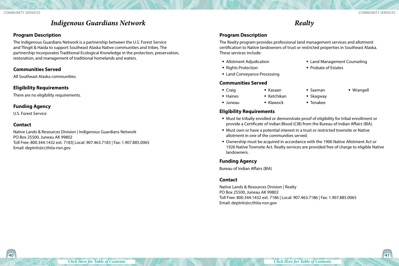### *Indigenous Guardians Network*

#### <span id="page-20-0"></span>**Program Description**

The Indigenous Guardians Network is a partnership between the U.S. Forest Service and Tlingit & Haida to support Southeast Alaska Native communities and tribes. The partnership incorporates Traditional Ecological Knowledge in the protection, preservation, restoration, and management of traditional homelands and waters.

#### **Communities Served**

All Southeast Alaska communities.

#### **Eligibility Requirements**

There are no eligibility requirements.

#### **Funding Agency**

U.S. Forest Service

#### **Contact**

Native Lands & Resources Division | Indigenous Guardians Network PO Box 25500, Juneau AK 99802 Toll Free: 800.344.1432 ext. 7183| Local: 907.463.7183 | Fax: 1.907.885.0065 Email: deptnlr@ccthita-nsn.gov

### *Realty*

#### **Program Description**

The Realty program provides professional land management services and allotment certification to Native landowners of trust or restricted properties in Southeast Alaska. These services include:

- Allotment Adjudication
- Rights Protection
- **Example 2** Land Conveyance Processing

#### **Communities Served**

- Craig **Haines**
- Kasaan

 $\blacksquare$  Ketchikan

- Saxman ■ Skagway
- Wrangell

■ Land Management Counseling

■ Probate of Estates

- Juneau ■ Klawock
- Tenakee

#### **Eligibility Requirements**

- Must be tribally enrolled or demonstrate proof of eligibility for tribal enrollment or provide a Certificate of Indian Blood (CIB) from the Bureau of Indian Affairs (BIA).
- Must own or have a potential interest in a trust or restricted townsite or Native allotment in one of the communities served.
- Ownership must be acquired in accordance with the 1906 Native Allotment Act or 1926 Native Townsite Act. Realty services are provided free of charge to eligible Native landowners.

#### **Funding Agency**

Bureau of Indian Affairs (BIA)

#### **Contact**

Native Lands & Resources Division | Realty PO Box 25500, Juneau AK 99802 Toll Free: 800.344.1432 ext. 7186 | Local: 907.463.7186 | Fax: 1.907.885.0065 Email: deptnlr@ccthita-nsn.gov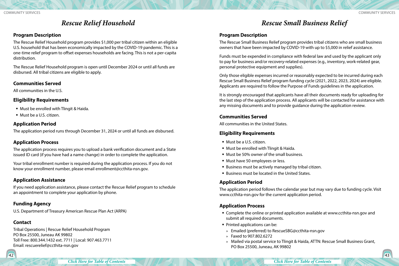### *Rescue Relief Household*

#### <span id="page-21-0"></span>**Program Description**

The Rescue Relief Household program provides \$1,000 per tribal citizen within an eligible U.S. household that has been economically impacted by the COVID-19 pandemic. This is a one-time relief program to offset expenses households are facing. This is not a per-capita distribution.

The Rescue Relief Household program is open until December 2024 or until all funds are disbursed. All tribal citizens are eligible to apply.

#### **Communities Served**

All communities in the U.S.

#### **Eligibility Requirements**

- **Must be enrolled with Tlingit & Haida.**
- Must be a U.S. citizen.

#### **Application Period**

The application period runs through December 31, 2024 or until all funds are disbursed.

#### **Application Process**

The application process requires you to upload a bank verification document and a State issued ID card (if you have had a name change) in order to complete the application.

Your tribal enrollment number is required during the application process. If you do not know your enrollment number, please email enrollment@ccthita-nsn.gov.

#### **Application Assistance**

If you need application assistance, please contact the Rescue Relief program to schedule an appointment to complete your application by phone.

#### **Funding Agency**

U.S. Department of Treasury American Rescue Plan Act (ARPA)

#### **Contact**

Tribal Operations | Rescue Relief Household Program PO Box 25500, Juneau AK 99802 Toll Free: 800.344.1432 ext. 7711 | Local: 907.463.7711 Email: rescuerelief@ccthita-nsn.gov

*Rescue Small Business Relief*

#### **Program Description**

The Rescue Small Business Relief program provides tribal citizens who are small business owners that have been impacted by COVID-19 with up to \$5,000 in relief assistance.

Funds must be expended in compliance with federal law and used by the applicant only to pay for business and/or recovery-related expenses (e.g., inventory, work-related gear, personal protective equipment and supplies).

Only those eligible expenses incurred or reasonably expected to be incurred during each Rescue Small Business Relief program funding cycle (2021, 2022, 2023, 2024) are eligible. Applicants are required to follow the Purpose of Funds guidelines in the application.

It is strongly encouraged that applicants have all their documents ready for uploading for the last step of the application process. All applicants will be contacted for assistance with any missing documents and to provide guidance during the application review.

#### **Communities Served**

All communities in the United States.

#### **Eligibility Requirements**

- Must be a U.S. citizen.
- **Must be enrolled with Tlingit & Haida.**
- Must be 50% owner of the small business.
- **Must have 50 employees or less.**
- Business must be actively managed by tribal citizen.
- **Business must be located in the United States.**

#### **Application Period**

The application period follows the calendar year but may vary due to funding cycle. Visit www.ccthita-nsn.gov for the current application period.

#### **Application Process**

- Complete the online or printed application available at www.ccthita-nsn.gov and submit all required documents.
- **Printed applications can be:**
- » Emailed (preferred) to RescueSBG@ccthita-nsn.gov
- » Faxed to 907.802.6272
- » Mailed via postal service to Tlingit & Haida, ATTN: Rescue Small Business Grant, PO Box 25500, Juneau, AK 99802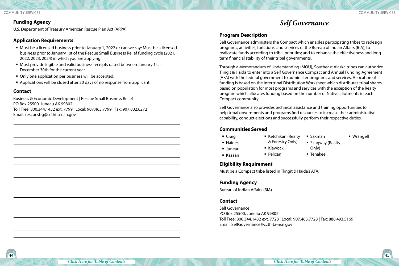#### <span id="page-22-0"></span>Community Services Community Services

#### **Funding Agency**

U.S. Department of Treasury American Rescue Plan Act (ARPA)

#### **Application Requirements**

- Must be a licensed business prior to January 1, 2022 or can we say: Must be a licensed business prior to January 1st of the Rescue Small Business Relief funding cycle (2021, 2022, 2023, 2024) in which you are applying.
- Must provide legible and valid business receipts dated between January 1st December 30th for the current year.
- Only one application per business will be accepted.
- Applications will be closed after 30 days of no response from applicant.

#### **Contact**

Business & Economic Development | Rescue Small Business Relief PO Box 25500, Juneau AK 99802 Toll Free: 800.344.1432 ext. 7799 | Local: 907.463.7799 | Fax: 907.802.6272 Email: rescuesbg@ccthita-nsn.gov

### *Self Governance*

#### **Program Description**

Self Governance administers the Compact which enables participating tribes to redesign programs, activities, functions, and services of the Bureau of Indian Affairs (BIA); to reallocate funds according to tribal priorities; and to enhance the effectiveness and longterm financial stability of their tribal governments.

Through a Memorandum of Understanding (MOU), Southeast Alaska tribes can authorize Tlingit & Haida to enter into a Self Governance Compact and Annual Funding Agreement (AFA) with the federal government to administer programs and services. Allocation of funding is based on the Intertribal Distribution Worksheet which distributes tribal shares based on population for most programs and services with the exception of the Realty program which allocates funding based on the number of Native allotments in each Compact community.

Self Governance also provides technical assistance and training opportunities to help tribal governments and programs find resources to increase their administrative capability, conduct elections and successfully perform their respective duties.

#### **Communities Served**

- Craig
- Ketchikan (Realty
	- & Forestry Only)
- **Skagway (Realty**

Wrangell

Juneau

**Haines** 

Kasaan

- $\blacksquare$  Klawock Pelican
- **Tenakee**

Saxman

Only)

### **Eligibility Requirement**

Must be a Compact tribe listed in Tlingit & Haida's AFA.

#### **Funding Agency**

Bureau of Indian Affairs (BIA)

#### **Contact**

Self Governance PO Box 25500, Juneau AK 99802 Toll Free: 800.344.1432 ext. 7728 | Local: 907.463.7728 | Fax: 888.493.5169 Email: SelfGovernance@ccthita-nsn.gov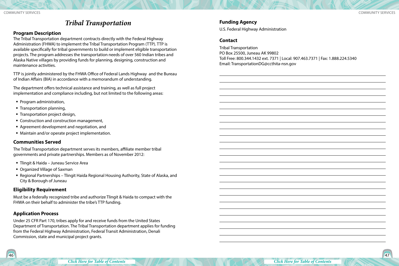### *Tribal Transportation*

#### <span id="page-23-0"></span>**Program Description**

The Tribal Transportation department contracts directly with the Federal Highway Administration (FHWA) to implement the Tribal Transportation Program (TTP). TTP is available specifically for tribal governments to build or implement eligible transportation projects. The program addresses the transportation needs of over 560 Indian tribes and Alaska Native villages by providing funds for planning, designing, construction and maintenance activities.

TTP is jointly administered by the FHWA Office of Federal Lands Highway and the Bureau of Indian Affairs (BIA) in accordance with a memorandum of understanding.

The department offers technical assistance and training, as well as full project implementation and compliance including, but not limited to the following areas:

- **Program administration,**
- **Transportation planning,**
- **Transportation project design,**
- **EX Construction and construction management,**
- Agreement development and negotiation, and
- Maintain and/or operate project implementation.

#### **Communities Served**

The Tribal Transportation department serves its members, affiliate member tribal governments and private partnerships. Members as of November 2012:

- **Tlingit & Haida Juneau Service Area**
- Organized Village of Saxman
- Regional Partnerships Tlingit Haida Regional Housing Authority, State of Alaska, and City & Borough of Juneau

#### **Eligibility Requirement**

Must be a federally recognized tribe and authorize Tlingit & Haida to compact with the FHWA on their behalf to administer the tribe's TTP funding.

#### **Application Process**

Under 25 CFR Part 170, tribes apply for and receive funds from the United States Department of Transportation. The Tribal Transportation department applies for funding from the Federal Highway Administration, Federal Transit Administration, Denali Commission, state and municipal project grants.

#### **Funding Agency**

U.S. Federal Highway Administration

#### **Contact**

Tribal Transportation PO Box 25500, Juneau AK 99802 Toll Free: 800.344.1432 ext. 7371 | Local: 907.463.7371 | Fax: 1.888.224.5340 Email: TransportationDG@ccthita-nsn.gov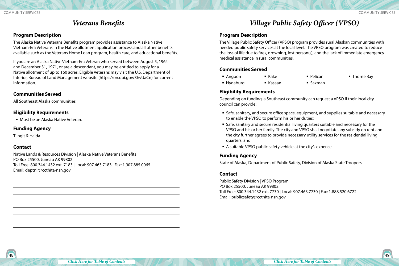### *Veterans Benefits*

#### <span id="page-24-0"></span>**Program Description**

The Alaska Native Veterans Benefits program provides assistance to Alaska Native Vietnam-Era Veterans in the Native allotment application process and all other benefits available such as the Veterans Home Loan program, health care, and educational benefits.

If you are an Alaska Native Vietnam-Era Veteran who served between August 5, 1964 and December 31, 1971, or are a descendant, you may be entitled to apply for a Native allotment of up to 160 acres. Eligible Veterans may visit the U.S. Department of Interior, Bureau of Land Management website (https://on.doi.gov/3hvUaCn) for current information.

#### **Communities Served**

All Southeast Alaska communities.

#### **Eligibility Requirements**

Must be an Alaska Native Veteran.

#### **Funding Agency**

Tlingit & Haida

#### **Contact**

Native Lands & Resources Division | Alaska Native Veterans Benefits PO Box 25500, Juneau AK 99802 Toll Free: 800.344.1432 ext. 7183 | Local: 907.463.7183 | Fax: 1.907.885.0065 Email: deptnlr@ccthita-nsn.gov

# *Village Public Safety Officer (VPSO)*

#### **Program Description**

The Village Public Safety Officer (VPSO) program provides rural Alaskan communities with needed public safety services at the local level. The VPSO program was created to reduce the loss of life due to fires, drowning, lost person(s), and the lack of immediate emergency medical assistance in rural communities.

#### **Communities Served**

■ Angoon  $\blacksquare$  Kake

- Pelican
- Thorne Bay

- Hydaburg Kasaan
- Saxman

#### **Eligibility Requirements**

Depending on funding, a Southeast community can request a VPSO if their local city council can provide:

- Safe, sanitary, and secure office space, equipment, and supplies suitable and necessary to enable the VPSO to perform his or her duties;
- Safe, sanitary and secure residential living quarters suitable and necessary for the VPSO and his or her family. The city and VPSO shall negotiate any subsidy on rent and the city further agrees to provide necessary utility services for the residential living quarters; and
- A suitable VPSO public safety vehicle at the city's expense.

#### **Funding Agency**

State of Alaska, Department of Public Safety, Division of Alaska State Troopers

#### **Contact**

Public Safety Division | VPSO Program PO Box 25500, Juneau AK 99802 Toll Free: 800.344.1432 ext. 7730 | Local: 907.463.7730 | Fax: 1.888.520.6722 Email: publicsafety@ccthita-nsn.gov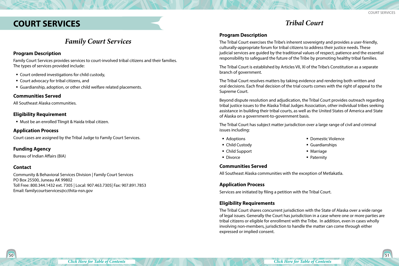## <span id="page-25-0"></span>**COURT SERVICES**

### *Tribal Court*

### **Program Description**

The Tribal Court exercises the Tribe's inherent sovereignty and provides a user-friendly, culturally-appropriate forum for tribal citizens to address their justice needs. These judicial services are guided by the traditional values of respect, patience and the essential responsibility to safeguard the future of the Tribe by promoting healthy tribal families.

The Tribal Court is established by Articles VII, XI of the Tribe's Constitution as a separate branch of government.

The Tribal Court resolves matters by taking evidence and rendering both written and oral decisions. Each final decision of the trial courts comes with the right of appeal to the Supreme Court.

Beyond dispute resolution and adjudication, the Tribal Court provides outreach regarding tribal justice issues to the Alaska Tribal Judges Association, other individual tribes seeking assistance in building their tribal courts, as well as the United States of America and State of Alaska on a government-to-government basis.

The Tribal Court has subject matter jurisdiction over a large range of civil and criminal issues including:

**• Domestic Violence** 

Guardianships

■ Marriage ■ Paternity

- Adoptions
- Child Custody
- Child Support
- **Divorce**

**Communities Served**

All Southeast Alaska communities with the exception of Metlakatla.

#### **Application Process**

Services are initiated by filing a petition with the Tribal Court.

#### **Eligibility Requirements**

The Tribal Court shares concurrent jurisdiction with the State of Alaska over a wide range of legal issues. Generally the Court has jurisdiction in a case where one or more parties are tribal citizens or eligible for enrollment with the Tribe. In addition, even in cases wholly involving non-members, jurisdiction to handle the matter can come through either expressed or implied consent.

### *Family Court Services*

#### **Program Description**

Family Court Services provides services to court-involved tribal citizens and their families. The types of services provided include:

- Court ordered investigations for child custody,
- Court advocacy for tribal citizens, and
- Guardianship, adoption, or other child welfare related placements.

#### **Communities Served**

All Southeast Alaska communities.

#### **Eligibility Requirement**

Must be an enrolled Tlingit & Haida tribal citizen.

#### **Application Process**

Court cases are assigned by the Tribal Judge to Family Court Services.

#### **Funding Agency**

Bureau of Indian Affairs (BIA)

#### **Contact**

Community & Behavioral Services Division | Family Court Services PO Box 25500, Juneau AK 99802 Toll Free: 800.344.1432 ext. 7305 | Local: 907.463.7305| Fax: 907.891.7853 Email: familycourtservices@ccthita-nsn.gov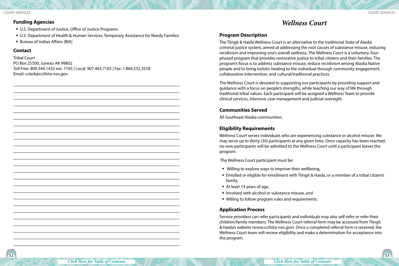#### <span id="page-26-0"></span>**Funding Agencies**

- U.S. Department of Justice, Office of Justice Programs
- U.S. Department of Health & Human Services, Temporary Assistance for Needy Families
- Bureau of Indian Affairs (BIA)

#### **Contact**

Tribal Court PO Box 25500, Juneau AK 99802 Toll Free: 800.344.1432 ext. 7165 | Local: 907.463.7165 | Fax: 1.866.532.3558 Email: cclerk@ccthita-nsn.gov

### *Wellness Court*

#### **Program Description**

The Tlingit & Haida Wellness Court is an alternative to the traditional State of Alaska criminal justice system, aimed at addressing the root causes of substance misuse, reducing recidivism and improving one's overall wellness. The Wellness Court is a voluntary, fourphased program that provides restorative justice to tribal citizens and their families. The program's focus is to address substance misuse, reduce recidivism among Alaska Native people and to bring holistic healing to the individual through community engagement, collaborative intervention, and cultural/traditional practices.

The Wellness Court is devoted to supporting our participants by providing support and guidance with a focus on people's strengths, while teaching our way of life through traditional tribal values. Each participant will be assigned a Wellness Team to provide clinical services, intensive case management and judicial oversight.

#### **Communities Served**

All Southeast Alaska communities.

#### **Eligibility Requirements**

Wellness Court serves individuals who are experiencing substance or alcohol misuse. We may serve up to thirty (30) participants at any given time. Once capacity has been reached, no new participants will be admitted to the Wellness Court until a participant leaves the program.

The Wellness Court participant must be:

- Willing to explore ways to improve their wellbeing,
- Enrolled or eligible for enrollment with Tlingit & Haida, or a member of a tribal citizen's family,
- At least 14 years of age,
- **Involved with alcohol or substance misuse, and**
- Willing to follow program rules and requirements.

#### **Application Process**

Service providers can refer participants and individuals may also self-refer or refer their children/family members. The Wellness Court referral form may be accessed from Tlingit & Haida's website (www.ccthita-nsn.gov). Once a completed referral form is received, the Wellness Court team will review eligibility and make a determination for acceptance into the program.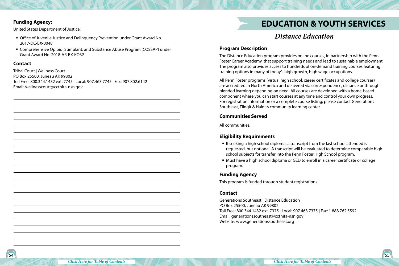#### <span id="page-27-0"></span>**Funding Agency:**

United States Department of Justice:

- Office of Juvenile Justice and Delinquency Prevention under Grant Award No. 2017-DC-BX-0048
- Comprehensive Opioid, Stimulant, and Substance Abuse Program (COSSAP) under Grant Award No. 2018-AR-BX-KO32

#### **Contact**

Tribal Court | Wellness Court PO Box 25500, Juneau AK 99802 Toll Free: 800.344.1432 ext. 7745 | Local: 907.463.7745 | Fax: 907.802.6142 Email: wellnesscourt@ccthita-nsn.gov

# **EDUCATION & YOUTH SERVICES**

### *Distance Education*

#### **Program Description**

The Distance Education program provides online courses, in partnership with the Penn Foster Career Academy, that support training needs and lead to sustainable employment. The program also provides access to hundreds of on-demand training courses featuring training options in many of today's high growth, high wage occupations.

All Penn Foster programs (virtual high school, career certificates and college courses) are accredited in North America and delivered via correspondence, distance or through blended learning depending on need. All courses are developed with a home-based component where you can start courses at any time and control your own progress. For registration information or a complete course listing, please contact Generations Southeast, Tlingit & Haida's community learning center.

#### **Communities Served**

All communities.

#### **Eligibility Requirements**

- If seeking a high school diploma, a transcript from the last school attended is requested, but optional. A transcript will be evaluated to determine comparable high school subjects for transfer into the Penn Foster High School program.
- Must have a high school diploma or GED to enroll in a career certificate or college program.

#### **Funding Agency**

This program is funded through student registrations.

#### **Contact**

Generations Southeast | Distance Education PO Box 25500, Juneau AK 99802 Toll Free: 800.344.1432 ext. 7375 | Local: 907.463.7375 | Fax: 1.888.762.5592 Email: generationssoutheast@ccthita-nsn.gov Website: www.generationssoutheast.org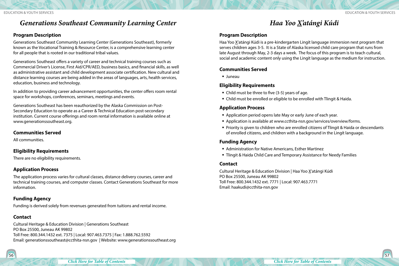<span id="page-28-0"></span>Education & Youth Services Education & Youth Services

### *Generations Southeast Community Learning Center*

#### **Program Description**

Generations Southeast Community Learning Center (Generations Southeast), formerly known as the Vocational Training & Resource Center, is a comprehensive learning center for all people that is rooted in our traditional tribal values.

Generations Southeast offers a variety of career and technical training courses such as Commercial Driver's License, First Aid/CPR/AED, business basics, and financial skills, as well as administrative assistant and child development associate certification. New cultural and distance learning courses are being added in the areas of languages, arts, health services, education, business and technology.

In addition to providing career advancement opportunities, the center offers room rental space for workshops, conferences, seminars, meetings and events.

Generations Southeast has been reauthorized by the Alaska Commission on Post-Secondary Education to operate as a Career & Technical Education post-secondary institution. Current course offerings and room rental information is available online at www.generationssoutheast.org.

#### **Communities Served**

All communities.

#### **Eligibility Requirements**

There are no eligibility requirements.

#### **Application Process**

The application process varies for cultural classes, distance delivery courses, career and technical training courses, and computer classes. Contact Generations Southeast for more information.

#### **Funding Agency**

Funding is derived solely from revenues generated from tuitions and rental income.

#### **Contact**

Cultural Heritage & Education Division | Generations Southeast PO Box 25500, Juneau AK 99802 Toll Free: 800.344.1432 ext. 7375 | Local: 907.463.7375 | Fax: 1.888.762.5592 Email: generationssoutheast@ccthita-nsn.gov | Website: www.generationssoutheast.org

### *Haa Yoo X'atángi Kúdi*

#### **Program Description**

Haa Yoo X'atángi Kúdi is a pre-kindergarten Lingít language immersion nest program that serves children ages 3-5. It is a State of Alaska licensed child care program that runs from late August through May, 2-3 days a week. The focus of this program is to teach cultural, social and academic content only using the Lingít language as the medium for instruction.

#### **Communities Served**

Juneau

#### **Eligibility Requirements**

- Child must be three to five (3-5) years of age.
- Child must be enrolled or eligible to be enrolled with Tlingit & Haida.

#### **Application Process**

- Application period opens late May or early June of each year.
- Application is available at www.ccthita-nsn.gov/services/overview/forms.
- Priority is given to children who are enrolled citizens of Tlingit & Haida or descendants of enrolled citizens, and children with a background in the Lingít language.

#### **Funding Agency**

- Administration for Native Americans, Esther Martinez
- **Tlingit & Haida Child Care and Temporary Assistance for Needy Families**

#### **Contact**

Cultural Heritage & Education Division | Haa Yoo X'atángi Kúdi PO Box 25500, Juneau AK 99802 Toll Free: 800.344.1432 ext. 7771 | Local: 907.463.7771 Email: haakudi@ccthita-nsn.gov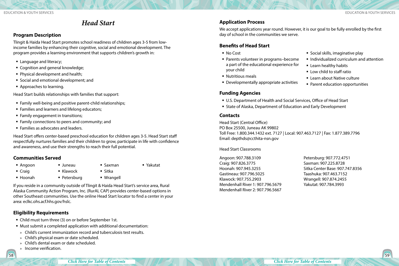### *Head Start*

#### <span id="page-29-0"></span>**Program Description**

Tlingit & Haida Head Start promotes school readiness of children ages 3-5 from lowincome families by enhancing their cognitive, social and emotional development. The program provides a learning environment that supports children's growth in:

- **Language and literacy;**
- Cognition and general knowledge;
- Physical development and health;
- Social and emotional development; and
- **Approaches to learning.**

Head Start builds relationships with families that support:

- Family well-being and positive parent-child relationships;
- **Families and learners and lifelong educators;**
- **Family engagement in transitions;**
- **Family connections to peers and community; and**
- Families as advocates and leaders.

Head Start offers center-based preschool education for children ages 3-5. Head Start staff respectfully nurtures families and their children to grow, participate in life with confidence and awareness, and use their strengths to reach their full potential.

#### **Communities Served**

■ Angoon

■ Craig

- Juneau  $\blacksquare$  Klawock
	- Sitka

Saxman

Yakutat

Hoonah

Wrangell

If you reside in a community outside of Tlingit & Haida Head Start's service area, Rural Alaska Community Action Program, Inc. (RurAL CAP) provides center-based options in other Southeast communities. Use the online Head Start locator to find a center in your area: eclkc.ohs.acf.hhs.gov/hslc.

### **Eligibility Requirements**

Child must turn three (3) on or before September 1st.

• Petersburg

- Must submit a completed application with additional documentation:
- » Child's current immunization record and tuberculosis test results.
- » Child's physical exam or date scheduled.
- » Child's dental exam or date scheduled.
- » Income verification.

### **Application Process**

We accept applications year round. However, it is our goal to be fully enrolled by the first day of school in the communities we serve.

### **Benefits of Head Start**

- No Cost
- Parents volunteer in programs–become a part of the educational experience for your child
- **Nutritious meals**
- Developmentally appropriate activities

#### **Funding Agencies**

- U.S. Department of Health and Social Services, Office of Head Start
- **State of Alaska, Department of Education and Early Development**

#### **Contacts**

Head Start (Central Office) PO Box 25500, Juneau AK 99802 Toll Free: 1.800.344.1432 ext. 7127 | Local: 907.463.7127 | Fax: 1.877.389.7796 Email: depthds@ccthita-nsn.gov

Head Start Classrooms

Angoon: 907.788.3109 Craig: 907.826.3775 Hoonah: 907.945.3255 Gastineau: 907.796.5025 Klawock: 907.755.2903 Mendenhall River 1: 907.796.5679 Mendenhall River 2: 907.796.5667 Petersburg: 907.772.4751 Saxman: 907.225.8728 Sitka Center Base: 907.747.8356 Taashuka: 907.463.7152 Wrangell: 907.874.2455 Yakutat: 907.784.3993

**Social skills, imaginative play** 

■ Learn about Native culture

■ Parent education opportunities

**E** Learn healthy habits **E** Low child to staff ratio

■ Individualized curriculum and attention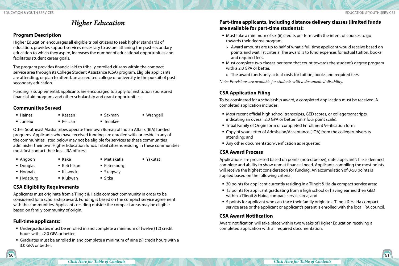### *Higher Education*

#### <span id="page-30-0"></span>**Program Description**

Higher Education encourages all eligible tribal citizens to seek higher standards of education, provides support services necessary to assure attaining the post-secondary education to which they aspire, increases the number of educational opportunities and facilitates student career goals.

The program provides financial aid to tribally enrolled citizens within the compact service area through its College Student Assistance (CSA) program. Eligible applicants are attending, or plan to attend, an accredited college or university in the pursuit of postsecondary education.

Funding is supplemental, applicants are encouraged to apply for institution sponsored financial aid programs and other scholarship and grant opportunities.

#### **Communities Served**

| ■ Haines | ■ Kasaan  | ■ Saxman               | ■ Wrangell |
|----------|-----------|------------------------|------------|
| ■ Juneau | • Pelican | $\blacksquare$ Tenakee |            |

Other Southeast Alaska tribes operate their own Bureau of Indian Affairs (BIA) funded programs. Applicants who have received funding, are enrolled with, or reside in any of the communities listed below may not be eligible for services as these communities administer their own Higher Education funds. Tribal citizens residing in these communities must first contact their local IRA offices:

- Angoon
- Douglas
- Hoonah

■ Hydaburg

• Petersburg

Metlakatla

Yakutat

- Skagway ■ Sitka
- **CSA Eligibility Requirements**

 $\blacksquare$  Kake

■ Ketchikan ■ Klawock Klukwan

Applicants must originate from a Tlingit & Haida compact community in order to be considered for a scholarship award. Funding is based on the compact service agreement with the communities. Applicants residing outside the compact areas may be eligible based on family community of origin.

#### **Full-time applicants:**

- Undergraduates must be enrolled in and complete a minimum of twelve (12) credit hours with a 2.0 GPA or better.
- Graduates must be enrolled in and complete a minimum of nine (9) credit hours with a 3.0 GPA or better.

#### **Part-time applicants, including distance delivery classes (limited funds are available for part-time students):**

- Must take a minimum of six (6) credits per term with the intent of courses to go towards their degree program.
- » Award amounts are up to half of what a full-time applicant would receive based on points and wait list criteria. The award is to fund expenses for actual tuition, books and required fees.
- Must complete two classes per term that count towards the student's degree program with a 2.0 GPA or better.
- » The award funds only actual costs for tuition, books and required fees.

*Note: Provisions are available for students with a documented disability.*

#### **CSA Application Filing**

To be considered for a scholarship award, a completed application must be received. A completed application includes:

- Most recent official high school transcripts, GED scores, or college transcripts, indicating an overall 2.0 GPA or better (on a four point scale);
- Tribal Family of Origin form or completed Enrollment Verification form;
- Copy of your Letter of Admission/Acceptance (LOA) from the college/university attending; and
- Any other documentation/verification as requested.

#### **CSA Award Process**

Applications are processed based on points (noted below), date applicant's file is deemed complete and ability to show unmet financial need. Applicants compiling the most points will receive the highest consideration for funding. An accumulation of 0-50 points is applied based on the following criteria:

- 30 points for applicant currently residing in a Tlingit & Haida compact service area;
- 15 points for applicant graduating from a high school or having earned their GED within a Tlingit & Haida compact service area; and
- 5 points for applicant who can trace their family origin to a Tlingit & Haida compact service area or the applicant or applicant's parent is enrolled with the local IRA council.

#### **CSA Award Notification**

Award notification will take place within two weeks of Higher Education receiving a completed application with all required documentation.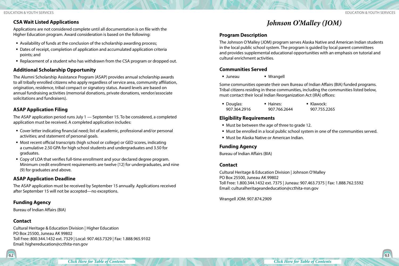#### <span id="page-31-0"></span>**CSA Wait Listed Applications**

Applications are not considered complete until all documentation is on file with the Higher Education program. Award consideration is based on the following:

- Availability of funds at the conclusion of the scholarship awarding process;
- Dates of receipt, completion of application and accumulated application criteria points; and
- Replacement of a student who has withdrawn from the CSA program or dropped out.

#### **Additional Scholarship Opportunity**

The Alumni Scholarship Assistance Program (ASAP) provides annual scholarship awards to all tribally enrolled citizens who apply regardless of service area, community affiliation, origination, residence, tribal compact or signatory status. Award levels are based on annual fundraising activities (memorial donations, private donations, vendor/associate solicitations and fundraisers).

#### **ASAP Application Filing**

The ASAP application period runs July 1 — September 15. To be considered, a completed application must be received. A completed application includes:

- Cover letter indicating financial need; list of academic, professional and/or personal activities; and statement of personal goals.
- Most recent official transcripts (high school or college) or GED scores, indicating a cumulative 2.50 GPA for high school students and undergraduates and 3.50 for graduates.
- Copy of LOA that verifies full-time enrollment and your declared degree program. Minimum credit enrollment requirements are twelve (12) for undergraduates, and nine (9) for graduates and above.

#### **ASAP Application Deadline**

The ASAP application must be received by September 15 annually. Applications received after September 15 will not be accepted—no exceptions.

#### **Funding Agency**

Bureau of Indian Affairs (BIA)

#### **Contact**

Cultural Heritage & Education Division | Higher Education PO Box 25500, Juneau AK 99802 Toll Free: 800.344.1432 ext. 7329 | Local: 907.463.7329 | Fax: 1.888.965.9102 Email: highereducation@ccthita-nsn.gov

*Johnson O'Malley (JOM)*

#### **Program Description**

The Johnson O'Malley (JOM) program serves Alaska Native and American Indian students in the local public school system. The program is guided by local parent committees and provides supplemental educational opportunities with an emphasis on tutorial and cultural enrichment activities.

#### **Communities Served**

Juneau Wrangell

Some communities operate their own Bureau of Indian Affairs (BIA) funded programs. Tribal citizens residing in these communities, including the communities listed below, must contact their local Indian Reorganization Act (IRA) offices:

| • Douglas:   | ■ Haines:    | ■ Klawock:   |
|--------------|--------------|--------------|
| 907.364.2916 | 907.766.2644 | 907.755.2265 |

#### **Eligibility Requirements**

- Must be between the age of three to grade 12.
- Must be enrolled in a local public school system in one of the communities served.
- Must be Alaska Native or American Indian.

#### **Funding Agency**

Bureau of Indian Affairs (BIA)

#### **Contact**

Cultural Heritage & Education Division | Johnson O'Malley PO Box 25500, Juneau AK 99802 Toll Free: 1.800.344.1432 ext. 7375 | Juneau: 907.463.7375 | Fax: 1.888.762.5592 Email: culturalheritageandeducation@ccthita-nsn.gov

Wrangell JOM: 907.874.2909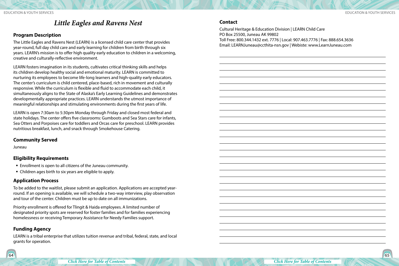### *Little Eagles and Ravens Nest*

#### <span id="page-32-0"></span>**Program Description**

The Little Eagles and Ravens Nest (LEARN) is a licensed child care center that provides year-round, full day child care and early learning for children from birth through six years. LEARN's mission is to offer high quality early education to children in a welcoming, creative and culturally-reflective environment.

LEARN fosters imagination in its students, cultivates critical thinking skills and helps its children develop healthy social and emotional maturity. LEARN is committed to nurturing its employees to become life-long learners and high-quality early educators. The center's curriculum is child centered, place-based, rich in movement and culturally responsive. While the curriculum is flexible and fluid to accommodate each child, it simultaneously aligns to the State of Alaska's Early Learning Guidelines and demonstrates developmentally appropriate practices. LEARN understands the utmost importance of meaningful relationships and stimulating environments during the first years of life.

LEARN is open 7:30am to 5:30pm Monday through Friday and closed most federal and state holidays. The center offers five classrooms: Gumboots and Sea Stars care for infants, Sea Otters and Porpoises care for toddlers and Orcas care for preschool. LEARN provides nutritious breakfast, lunch, and snack through Smokehouse Catering.

#### **Community Served**

Juneau

#### **Eligibility Requirements**

- Enrollment is open to all citizens of the Juneau community.
- Children ages birth to six years are eligible to apply.

#### **Application Process**

To be added to the waitlist, please submit an application. Applications are accepted yearround. If an opening is available, we will schedule a two-way interview, play observation and tour of the center. Children must be up to date on all immunizations.

Priority enrollment is offered for Tlingit & Haida employees. A limited number of designated priority spots are reserved for foster families and for families experiencing homelessness or receiving Temporary Assistance for Needy Families support.

#### **Funding Agency**

LEARN is a tribal enterprise that utilizes tuition revenue and tribal, federal, state, and local grants for operation.

Cultural Heritage & Education Division | LEARN Child Care PO Box 25500, Juneau AK 99802 Toll Free: 800.344.1432 ext. 7776 | Local: 907.463.7776 | Fax: 888.654.3636 Email: LEARNJuneau@ccthita-nsn.gov | Webiste: www.LearnJuneau.com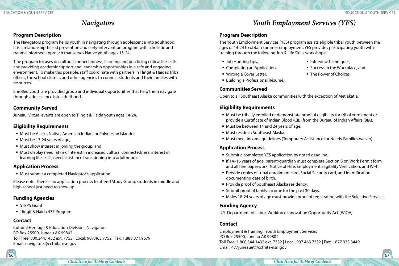### *Navigators*

#### <span id="page-33-0"></span>**Program Description**

The Navigators program helps youth in navigating through adolescence into adulthood. It is a relationship-based prevention and early-intervention program with a holistic and trauma informed approach that serves Native youth ages 13-24.

T he program focuses on cultural connectedness, learning and practicing critical life skills, and providing academic support and leadership opportunities in a safe and engaging environment. To make this possible, staff coordinate with partners in Tlingit & Haida's tribal offices, the school district, and other agencies to connect students and their families with resources.

Enrolled youth are provided group and individual opportunities that help them navigate through adolescence into adulthood.

#### **Community Served**

Juneau. Virtual events are open to Tlingit & Haida youth ages 14-24.

#### **Eligibility Requirements**

- Must be Alaska Native, American Indian, or Polynesian Islander,
- Must be 13-24 years of age,
- Must show interest in joining the group, and
- Must display need (at risk, interest in increased cultural connectedness, interest in learning life skills, need assistance transitioning into adulthood).

#### **Application Process**

Must submit a completed Navigator's application.

Please note: There is no application process to attend Study Group, students in middle and high school just need to show up.

#### **Funding Agencies**

- **STEPS Grant**
- Tlingit & Haida 477 Program

#### **Contact**

Cultural Heritage & Education Division | Navigators PO Box 25500, Juneau AK 99802 Toll Free: 800.344.1432 ext. 7752 | Local: 907.463.7752 | Fax: 1.888.871.9679 Email: navigators@ccthita-nsn.gov

### *Youth Employment Services (YES)*

#### **Program Description**

The Youth Employment Services (YES) program assists eligible tribal youth between the ages of 14-24 to obtain summer employment. YES provides participating youth with training through the following Job & Life Skills workshops:

**Interview Techniques,** 

■ The Power of Choices.

■ Success in the Workplace, and

- **Job Hunting Tips,**
- Completing an Application,
- Writing a Cover Letter,
- Building a Professional Résumé,

#### **Communities Served**

Open to all Southeast Alaska communities with the exception of Metlakatla.

#### **Eligibility Requirements**

- Must be tribally enrolled or demonstrate proof of eligibility for tribal enrollment or provide a Certificate of Indian Blood (CIB) from the Bureau of Indian Affairs (BIA).
- Must be between 14 and 24 years of age.
- Must reside in Southeast Alaska.
- Must meet income guidelines (Temporary Assistance for Needy Families waiver).

#### **Application Process**

- Submit a completed YES application by noted deadline.
- If 14–16 years of age, parent/guardian must complete Section B on Work Permit form and all hire paperwork (Notice of Hire, Employment Eligibility Verification, and W-4).
- Provide copies of tribal enrollment card, Social Security card, and identification documenting date of birth.
- **Provide proof of Southeast Alaska residency.**
- Submit proof of family income for the past 30 days.
- Males 18-24 years of age must provide proof of registration with the Selective Service.

#### **Funding Agency**

U.S. Department of Labor, Workforce innovation Opportunity Act (WIOA)

#### **Contact**

Employment & Training | Youth Employment Services PO Box 25500, Juneau AK 99802 Toll Free: 1.800.344.1432 ext. 7332 | Local: 907.463.7332 | Fax: 1.877.333.3449 Email: 477juneauet@ccthita-nsn.gov

*[Click Here for Table of Contents](#page-2-0) [Click Here for Table of Contents](#page-2-0)*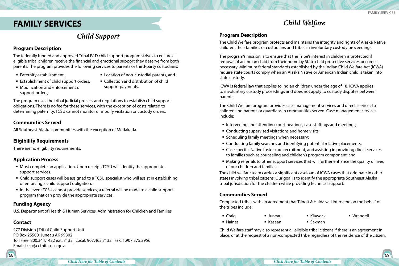### <span id="page-34-0"></span>**FAMILY SERVICES**

### *Child Support*

#### **Program Description**

The federally funded and approved Tribal IV-D child support program strives to ensure all eligible tribal children receive the financial and emotional support they deserve from both parents. The program provides the following services to parents or third-party custodians:

■ Paternity establishment,

- Location of non-custodial parents, and
- Establishment of child support orders,

Modification and enforcement of

 Collection and distribution of child support payments.

The program uses the tribal judicial process and regulations to establish child support obligations. There is no fee for these services, with the exception of costs related to determining paternity. TCSU cannot monitor or modify visitation or custody orders.

#### **Communities Served**

support orders,

All Southeast Alaska communities with the exception of Metlakatla.

#### **Eligibility Requirements**

There are no eligibility requirements.

#### **Application Process**

- Must complete an application. Upon receipt, TCSU will identify the appropriate support services.
- Child support cases will be assigned to a TCSU specialist who will assist in establishing or enforcing a child support obligation.
- In the event TCSU cannot provide services, a referral will be made to a child support program that can provide the appropriate services.

#### **Funding Agency**

U.S. Department of Health & Human Services, Administration for Children and Families

#### **Contact**

477 Division | Tribal Child Support Unit PO Box 25500, Juneau AK 99802 Toll Free: 800.344.1432 ext. 7132 | Local: 907.463.7132 | Fax: 1.907.375.2956 Email: tcsu@ccthita-nsn.gov

### *Child Welfare*

#### **Program Description**

The Child Welfare program protects and maintains the integrity and rights of Alaska Native children, their families or custodians and tribes in involuntary custody proceedings.

The program's mission is to ensure that the Tribe's interest in children is protected if removal of an Indian child from their home by State child protective services becomes necessary. Minimum federal standards established by the Indian Child Welfare Act (ICWA) require state courts comply when an Alaska Native or American Indian child is taken into state custody.

ICWA is federal law that applies to Indian children under the age of 18. ICWA applies to involuntary custody proceedings and does not apply to custody disputes between parents.

The Child Welfare program provides case management services and direct services to children and parents or guardians in communities served. Case management services include:

- Intervening and attending court hearings, case staffings and meetings;
- **Conducting supervised visitations and home visits;**
- **Scheduling family meetings when necessary;**
- Conducting family searches and identifying potential relative placements;
- Case specific Native foster care recruitment, and assisting in providing direct services to families such as counseling and children's program component; and
- Making referrals to other support services that will further enhance the quality of lives of our children and families.

The child welfare team carries a significant caseload of ICWA cases that originate in other states involving tribal citizens. Our goal is to identify the appropriate Southeast Alaska tribal jurisdiction for the children while providing technical support.

#### **Communities Served**

Compacted tribes with an agreement that Tlingit & Haida will intervene on the behalf of the tribes include:

- Craig Juneau  $\blacksquare$  Klawock Wrangell
- **Haines** Kasaan
- $\blacksquare$  Saxman

Child Welfare staff may also represent all eligible tribal citizens if there is an agreement in place, or at the request of a non-compacted tribe regardless of the residence of the citizen.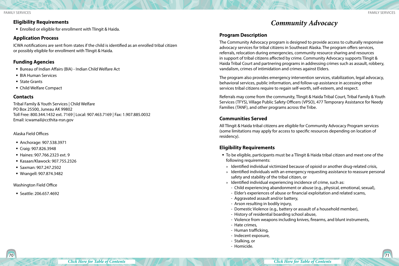#### <span id="page-35-0"></span>**Eligibility Requirements**

Enrolled or eligible for enrollment with Tlingit & Haida.

#### **Application Process**

ICWA notifications are sent from states if the child is identified as an enrolled tribal citizen or possibly eligible for enrollment with Tlingit & Haida.

#### **Funding Agencies**

- Bureau of Indian Affairs (BIA) Indian Child Welfare Act
- **BIA Human Services**
- State Grants
- Child Welfare Compact

#### **Contacts**

Tribal Family & Youth Services | Child Welfare PO Box 25500, Juneau AK 99802 Toll Free: 800.344.1432 ext. 7169 | Local: 907.463.7169 | Fax: 1.907.885.0032 Email: icwamail@ccthita-nsn.gov

#### Alaska Field Offices

- Anchorage: 907.538.3971
- Craig: 907.826.3948
- Haines: 907.766.2323 ext. 9
- Kasaan/Klawock: 907.755.2326
- Saxman: 907.247.2502
- Wrangell: 907.874.3482

#### Washington Field Office

Seattle: 206.657.4692

### *Community Advocacy*

#### **Program Description**

The Community Advocacy program is designed to provide access to culturally responsive advocacy services for tribal citizens in Southeast Alaska. The program offers services, referrals, relocation during emergencies, community resource sharing and resources in support of tribal citizens affected by crime. Community Advocacy supports Tlingit & Haida Tribal Court and partnering programs in addressing crimes such as assault, robbery, vandalism, crimes of intimidation and crimes against Elders.

The program also provides emergency intervention services, stabilization, legal advocacy, behavioral services, public information, and follow-up assistance in accessing other services tribal citizens require to regain self-worth, self-esteem, and respect.

Referrals may come from the community, Tlingit & Haida Tribal Court, Tribal Family & Youth Services (TFYS), Village Public Safety Officers (VPSO), 477 Temporary Assistance for Needy Families (TANF), and other programs across the Tribe.

#### **Communities Served**

All Tlingit & Haida tribal citizens are eligible for Community Advocacy Program services (some limitations may apply for access to specific resources depending on location of residency).

#### **Eligibility Requirements**

- To be eligible, participants must be a Tlingit & Haida tribal citizen and meet one of the following requirements:
- » Identified individual victimized because of opioid or another drug-related crisis,
- » Identified individuals with an emergency requesting assistance to reassure personal safety and stability of the tribal citizen, or
- » Identified individual experiencing incidence of crime, such as:
	- Child experiencing abandonment or abuse (e.g., physical, emotional, sexual),
	- Elder's experiences of abuse or financial exploitation and related scams,
	- Aggravated assault and/or battery,
	- Arson resulting in bodily injury,
	- Domestic Violence (e.g., battery or assault of a household member),
	- History of residential boarding school abuse,
	- Violence from weapons including knives, firearms, and blunt instruments,
	- Hate crimes,
- Human trafficking,
- Indecent exposure,
- Stalking, or
- Homicide.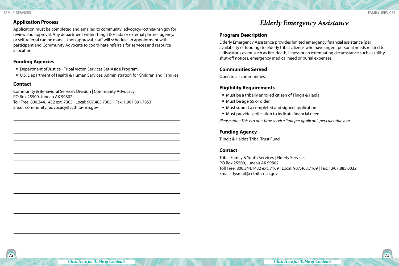#### <span id="page-36-0"></span>Family Services Family Services

#### **Application Process**

Application must be completed and emailed to community advocacy@ccthita-nsn.gov for review and approval. Any department within Tlingit & Haida or external partner agency, or self-referral can be made. Upon approval, staff will schedule an appointment with participant and Community Advocate to coordinate referrals for services and resource allocation.

#### **Funding Agencies**

- Department of Justice Tribal Victim Services Set-Aside Program
- U.S. Department of Health & Human Services, Administration for Children and Families

#### **Contact**

Community & Behavioral Services Division | Community Advocacy PO Box 25500, Juneau AK 99802 Toll Free: 800.344.1432 ext. 7305 | Local: 907.463.7305 | Fax: 1.907.891.7853 Email: community\_advocacy@ccthita-nsn.gov

### *Elderly Emergency Assistance*

#### **Program Description**

Elderly Emergency Assistance provides limited emergency financial assistance (per availability of funding) to elderly tribal citizens who have urgent personal needs related to a disastrous event such as fire, death, illness or an extenuating circumstance such as utility shut-off notices, emergency medical need or burial expenses.

#### **Communities Served**

Open to all communities.

#### **Eligibility Requirements**

- Must be a tribally enrolled citizen of Tlingit & Haida.
- Must be age 65 or older.
- Must submit a completed and signed application.
- Must provide verification to indicate financial need.

*Please note: This is a one-time service limit per applicant, per calendar year.*

#### **Funding Agency**

Tlingit & Haida's Tribal Trust Fund

#### **Contact**

Tribal Family & Youth Services | Elderly Services PO Box 25500, Juneau AK 99802 Toll Free: 800.344.1432 ext. 7169 | Local: 907.463.7169 | Fax: 1.907.885.0032 Email: tfysmail@ccthita-nsn.gov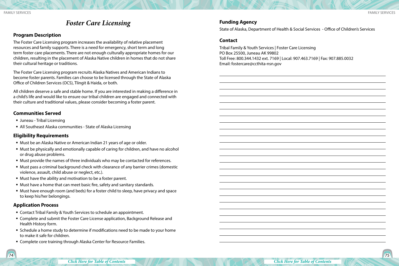### *Foster Care Licensing*

#### <span id="page-37-0"></span>**Program Description**

The Foster Care Licensing program increases the availability of relative placement resources and family supports. There is a need for emergency, short term and long term foster care placements. There are not enough culturally appropriate homes for our children, resulting in the placement of Alaska Native children in homes that do not share their cultural heritage or traditions.

The Foster Care Licensing program recruits Alaska Natives and American Indians to become foster parents. Families can choose to be licensed through the State of Alaska Office of Children Services (OCS), Tlingit & Haida, or both.

All children deserve a safe and stable home. If you are interested in making a difference in a child's life and would like to ensure our tribal children are engaged and connected with their culture and traditional values, please consider becoming a foster parent.

#### **Communities Served**

- Juneau Tribal Licensing
- All Southeast Alaska communities State of Alaska Licensing

#### **Eligibility Requirements**

- Must be an Alaska Native or American Indian 21 years of age or older.
- Must be physically and emotionally capable of caring for children, and have no alcohol or drug abuse problems.
- Must provide the names of three individuals who may be contacted for references.
- Must pass a criminal background check with clearance of any barrier crimes (domestic violence, assault, child abuse or neglect, etc.).
- Must have the ability and motivation to be a foster parent.
- Must have a home that can meet basic fire, safety and sanitary standards.
- Must have enough room (and beds) for a foster child to sleep, have privacy and space to keep his/her belongings.

#### **Application Process**

- Contact Tribal Family & Youth Services to schedule an appointment.
- Complete and submit the Foster Care License application, Background Release and Health History form.
- Schedule a home study to determine if modifications need to be made to your home to make it safe for children.
- Complete core training through Alaska Center for Resource Families.

#### **Funding Agency**

State of Alaska, Department of Health & Social Services - Office of Children's Services

#### **Contact**

Tribal Family & Youth Services | Foster Care Licensing PO Box 25500, Juneau AK 99802 Toll Free: 800.344.1432 ext. 7169 | Local: 907.463.7169 | Fax: 907.885.0032 Email: fostercare@ccthita-nsn.gov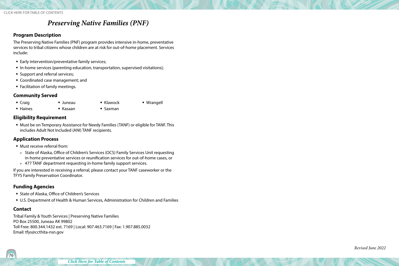### *Preserving Native Families (PNF)*

#### <span id="page-38-0"></span>**Program Description**

The Preserving Native Families (PNF) program provides intensive in-home, preventative services to tribal citizens whose children are at risk for out-of-home placement. Services include:

■ Early intervention/preventative family services;

 Juneau Kasaan

- In-home services (parenting education, transportation, supervised visitations);
- **Support and referral services;**
- Coordinated case management; and
- **Facilitation of family meetings.**

#### **Community Served**

■ Craig **Haines** 

- Klawock
	- Saxman

Wrangell

#### **Eligibility Requirement**

 Must be on Temporary Assistance for Needy Families (TANF) or eligible for TANF. This includes Adult Not Included (ANI) TANF recipients.

#### **Application Process**

- Must receive referral from:
- » State of Alaska, Office of Children's Services (OCS) Family Services Unit requesting in-home preventative services or reunification services for out-of-home cases, or
- » 477 TANF department requesting in-home family support services.

If you are interested in receiving a referral, please contact your TANF caseworker or the TFYS Family Preservation Coordinator.

#### **Funding Agencies**

- State of Alaska, Office of Children's Services
- U.S. Department of Health & Human Services, Administration for Children and Families

#### **Contact**

Tribal Family & Youth Services | Preserving Native Families PO Box 25500, Juneau AK 99802 Toll Free: 800.344.1432 ext. 7169 | Local: 907.463.7169 | Fax: 1.907.885.0032 Email: tfys@ccthita-nsn.gov